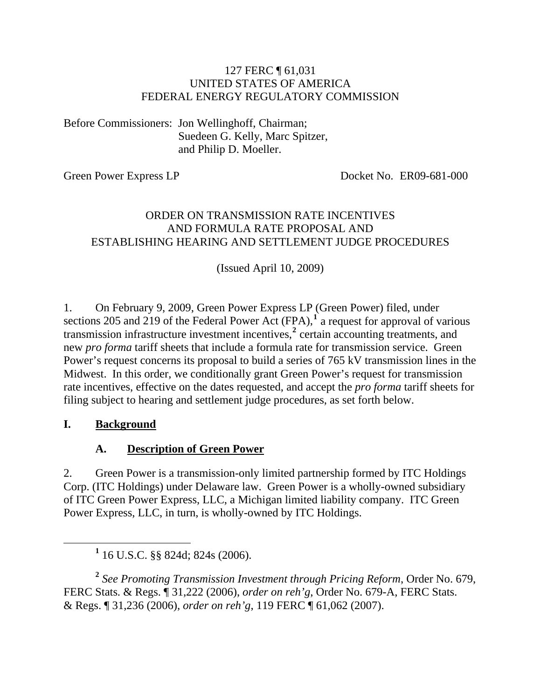#### 127 FERC ¶ 61,031 UNITED STATES OF AMERICA FEDERAL ENERGY REGULATORY COMMISSION

Before Commissioners: Jon Wellinghoff, Chairman; Suedeen G. Kelly, Marc Spitzer, and Philip D. Moeller.

Green Power Express LP Docket No. ER09-681-000

#### ORDER ON TRANSMISSION RATE INCENTIVES AND FORMULA RATE PROPOSAL AND ESTABLISHING HEARING AND SETTLEMENT JUDGE PROCEDURES

(Issued April 10, 2009)

1. On February 9, 2009, Green Power Express LP (Green Power) filed, under sections 205 and 2[1](#page-0-0)9 of the Federal Power Act  $(FPA)$ ,<sup>1</sup> a request for approval of various transmission infrastructure investment incentives,<sup>[2](#page-0-1)</sup> certain accounting treatments, and new *pro forma* tariff sheets that include a formula rate for transmission service. Green Power's request concerns its proposal to build a series of 765 kV transmission lines in the Midwest. In this order, we conditionally grant Green Power's request for transmission rate incentives, effective on the dates requested, and accept the *pro forma* tariff sheets for filing subject to hearing and settlement judge procedures, as set forth below.

#### **I. Background**

#### **A. Description of Green Power**

2. Green Power is a transmission-only limited partnership formed by ITC Holdings Corp. (ITC Holdings) under Delaware law. Green Power is a wholly-owned subsidiary of ITC Green Power Express, LLC, a Michigan limited liability company. ITC Green Power Express, LLC, in turn, is wholly-owned by ITC Holdings.

<span id="page-0-1"></span>**<sup>2</sup>** *See Promoting Transmission Investment through Pricing Reform*, Order No. 679, FERC Stats. & Regs. ¶ 31,222 (2006), *order on reh'g*, Order No. 679-A, FERC Stats. & Regs. ¶ 31,236 (2006), *order on reh'g*, 119 FERC ¶ 61,062 (2007).

<span id="page-0-0"></span><sup>&</sup>lt;u>1</u>  $1$  16 U.S.C. §§ 824d; 824s (2006).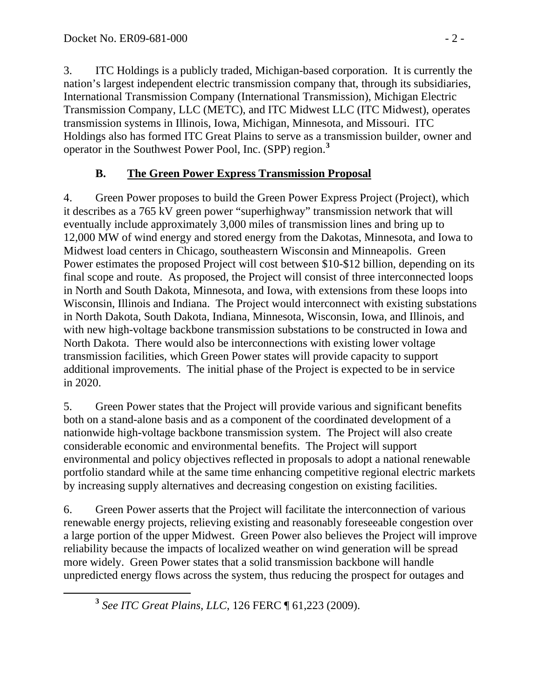3. ITC Holdings is a publicly traded, Michigan-based corporation. It is currently the nation's largest independent electric transmission company that, through its subsidiaries, International Transmission Company (International Transmission), Michigan Electric Transmission Company, LLC (METC), and ITC Midwest LLC (ITC Midwest), operates transmission systems in Illinois, Iowa, Michigan, Minnesota, and Missouri. ITC Holdings also has formed ITC Great Plains to serve as a transmission builder, owner and operator in the Southwest Power Pool, Inc. (SPP) region.**[3](#page-1-0)**

## **B. The Green Power Express Transmission Proposal**

4. Green Power proposes to build the Green Power Express Project (Project), which it describes as a 765 kV green power "superhighway" transmission network that will eventually include approximately 3,000 miles of transmission lines and bring up to 12,000 MW of wind energy and stored energy from the Dakotas, Minnesota, and Iowa to Midwest load centers in Chicago, southeastern Wisconsin and Minneapolis. Green Power estimates the proposed Project will cost between \$10-\$12 billion, depending on its final scope and route. As proposed, the Project will consist of three interconnected loops in North and South Dakota, Minnesota, and Iowa, with extensions from these loops into Wisconsin, Illinois and Indiana. The Project would interconnect with existing substations in North Dakota, South Dakota, Indiana, Minnesota, Wisconsin, Iowa, and Illinois, and with new high-voltage backbone transmission substations to be constructed in Iowa and North Dakota. There would also be interconnections with existing lower voltage transmission facilities, which Green Power states will provide capacity to support additional improvements. The initial phase of the Project is expected to be in service in 2020.

5. Green Power states that the Project will provide various and significant benefits both on a stand-alone basis and as a component of the coordinated development of a nationwide high-voltage backbone transmission system. The Project will also create considerable economic and environmental benefits. The Project will support environmental and policy objectives reflected in proposals to adopt a national renewable portfolio standard while at the same time enhancing competitive regional electric markets by increasing supply alternatives and decreasing congestion on existing facilities.

6. Green Power asserts that the Project will facilitate the interconnection of various renewable energy projects, relieving existing and reasonably foreseeable congestion over a large portion of the upper Midwest. Green Power also believes the Project will improve reliability because the impacts of localized weather on wind generation will be spread more widely. Green Power states that a solid transmission backbone will handle unpredicted energy flows across the system, thus reducing the prospect for outages and

<span id="page-1-0"></span>**<sup>3</sup>** *See ITC Great Plains, LLC*, 126 FERC ¶ 61,223 (2009).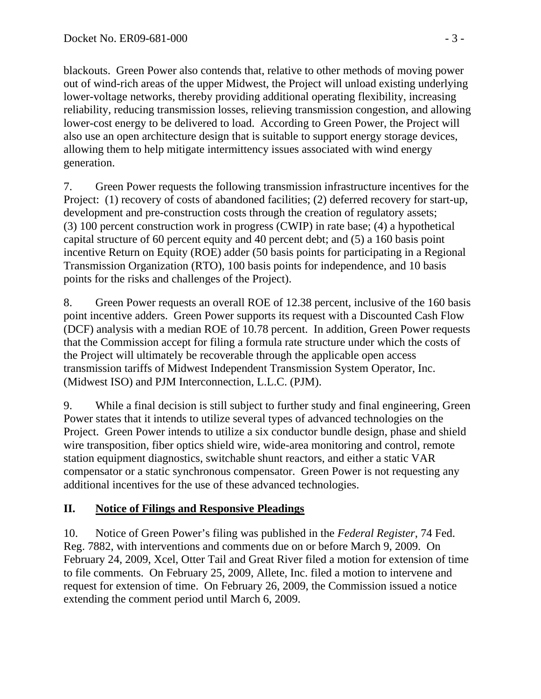blackouts. Green Power also contends that, relative to other methods of moving power out of wind-rich areas of the upper Midwest, the Project will unload existing underlying lower-voltage networks, thereby providing additional operating flexibility, increasing reliability, reducing transmission losses, relieving transmission congestion, and allowing lower-cost energy to be delivered to load. According to Green Power, the Project will also use an open architecture design that is suitable to support energy storage devices, allowing them to help mitigate intermittency issues associated with wind energy generation.

7. Green Power requests the following transmission infrastructure incentives for the Project: (1) recovery of costs of abandoned facilities; (2) deferred recovery for start-up, development and pre-construction costs through the creation of regulatory assets; (3) 100 percent construction work in progress (CWIP) in rate base; (4) a hypothetical capital structure of 60 percent equity and 40 percent debt; and (5) a 160 basis point incentive Return on Equity (ROE) adder (50 basis points for participating in a Regional Transmission Organization (RTO), 100 basis points for independence, and 10 basis points for the risks and challenges of the Project).

8. Green Power requests an overall ROE of 12.38 percent, inclusive of the 160 basis point incentive adders. Green Power supports its request with a Discounted Cash Flow (DCF) analysis with a median ROE of 10.78 percent. In addition, Green Power requests that the Commission accept for filing a formula rate structure under which the costs of the Project will ultimately be recoverable through the applicable open access transmission tariffs of Midwest Independent Transmission System Operator, Inc. (Midwest ISO) and PJM Interconnection, L.L.C. (PJM).

9. While a final decision is still subject to further study and final engineering, Green Power states that it intends to utilize several types of advanced technologies on the Project. Green Power intends to utilize a six conductor bundle design, phase and shield wire transposition, fiber optics shield wire, wide-area monitoring and control, remote station equipment diagnostics, switchable shunt reactors, and either a static VAR compensator or a static synchronous compensator. Green Power is not requesting any additional incentives for the use of these advanced technologies.

## **II. Notice of Filings and Responsive Pleadings**

10. Notice of Green Power's filing was published in the *Federal Register*, 74 Fed. Reg. 7882, with interventions and comments due on or before March 9, 2009. On February 24, 2009, Xcel, Otter Tail and Great River filed a motion for extension of time to file comments. On February 25, 2009, Allete, Inc. filed a motion to intervene and request for extension of time. On February 26, 2009, the Commission issued a notice extending the comment period until March 6, 2009.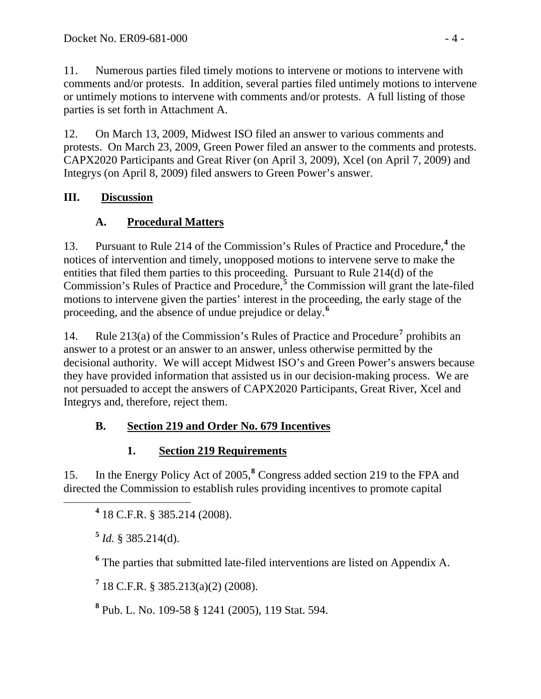11. Numerous parties filed timely motions to intervene or motions to intervene with comments and/or protests. In addition, several parties filed untimely motions to intervene or untimely motions to intervene with comments and/or protests. A full listing of those parties is set forth in Attachment A.

12. On March 13, 2009, Midwest ISO filed an answer to various comments and protests. On March 23, 2009, Green Power filed an answer to the comments and protests. CAPX2020 Participants and Great River (on April 3, 2009), Xcel (on April 7, 2009) and Integrys (on April 8, 2009) filed answers to Green Power's answer.

# **III. Discussion**

# **A. Procedural Matters**

13. Pursuant to Rule 21[4](#page-3-0) of the Commission's Rules of Practice and Procedure,<sup>4</sup> the notices of intervention and timely, unopposed motions to intervene serve to make the entities that filed them parties to this proceeding. Pursuant to Rule 214(d) of the Commission's Rules of Practice and Procedure,<sup>[5](#page-3-1)</sup> the Commission will grant the late-filed motions to intervene given the parties' interest in the proceeding, the early stage of the proceeding, and the absence of undue prejudice or delay.**[6](#page-3-2)**

14. Rule 213(a) of the Commission's Rules of Practice and Procedure<sup>[7](#page-3-3)</sup> prohibits an answer to a protest or an answer to an answer, unless otherwise permitted by the decisional authority. We will accept Midwest ISO's and Green Power's answers because they have provided information that assisted us in our decision-making process. We are not persuaded to accept the answers of CAPX2020 Participants, Great River, Xcel and Integrys and, therefore, reject them.

# **B. Section 219 and Order No. 679 Incentives**

# **1. Section 219 Requirements**

15. In the Energy Policy Act of 2005,**[8](#page-3-4)** Congress added section 219 to the FPA and directed the Commission to establish rules providing incentives to promote capital

<span id="page-3-2"></span><span id="page-3-1"></span><span id="page-3-0"></span> **<sup>4</sup>** 18 C.F.R. § 385.214 (2008).

**<sup>5</sup>** *Id.* § 385.214(d).

**6** The parties that submitted late-filed interventions are listed on Appendix A.

<span id="page-3-3"></span>**7** 18 C.F.R. § 385.213(a)(2) (2008).

<span id="page-3-4"></span>**8** Pub. L. No. 109-58 § 1241 (2005), 119 Stat. 594.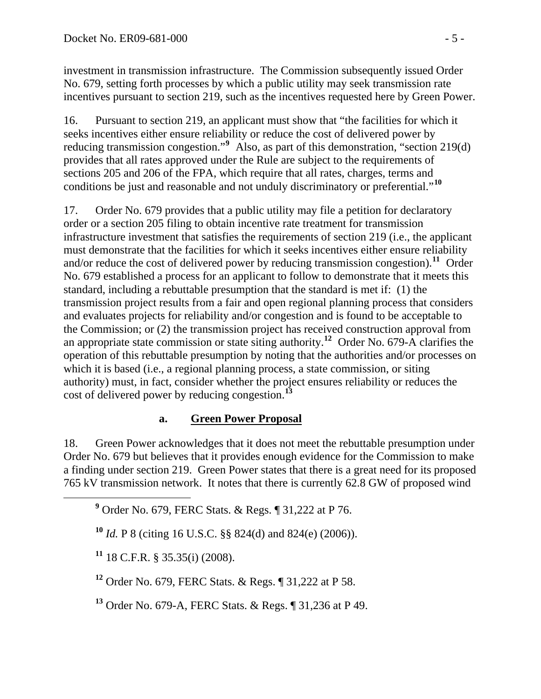investment in transmission infrastructure. The Commission subsequently issued Order No. 679, setting forth processes by which a public utility may seek transmission rate incentives pursuant to section 219, such as the incentives requested here by Green Power.

16. Pursuant to section 219, an applicant must show that "the facilities for which it seeks incentives either ensure reliability or reduce the cost of delivered power by reducing transmission congestion."<sup>[9](#page-4-0)</sup> Also, as part of this demonstration, "section 219(d) provides that all rates approved under the Rule are subject to the requirements of sections 205 and 206 of the FPA, which require that all rates, charges, terms and conditions be just and reasonable and not unduly discriminatory or preferential."**[10](#page-4-1)**

17. Order No. 679 provides that a public utility may file a petition for declaratory order or a section 205 filing to obtain incentive rate treatment for transmission infrastructure investment that satisfies the requirements of section 219 (i.e., the applicant must demonstrate that the facilities for which it seeks incentives either ensure reliability and/or reduce the cost of delivered power by reducing transmission congestion).**[11](#page-4-2)** Order No. 679 established a process for an applicant to follow to demonstrate that it meets this standard, including a rebuttable presumption that the standard is met if: (1) the transmission project results from a fair and open regional planning process that considers and evaluates projects for reliability and/or congestion and is found to be acceptable to the Commission; or (2) the transmission project has received construction approval from an appropriate state commission or state siting authority.**[12](#page-4-3)** Order No. 679-A clarifies the operation of this rebuttable presumption by noting that the authorities and/or processes on which it is based (i.e., a regional planning process, a state commission, or siting authority) must, in fact, consider whether the project ensures reliability or reduces the cost of delivered power by reducing congestion.**[13](#page-4-4)**

#### **a. Green Power Proposal**

18. Green Power acknowledges that it does not meet the rebuttable presumption under Order No. 679 but believes that it provides enough evidence for the Commission to make a finding under section 219. Green Power states that there is a great need for its proposed 765 kV transmission network. It notes that there is currently 62.8 GW of proposed wind

<span id="page-4-2"></span><span id="page-4-1"></span><span id="page-4-0"></span> **<sup>9</sup>** Order No. 679, FERC Stats. & Regs. ¶ 31,222 at P 76.

**<sup>10</sup>** *Id.* P 8 (citing 16 U.S.C. §§ 824(d) and 824(e) (2006)).

**<sup>11</sup>** 18 C.F.R. § 35.35(i) (2008).

<span id="page-4-3"></span>**<sup>12</sup>** Order No. 679, FERC Stats. & Regs. ¶ 31,222 at P 58.

<span id="page-4-4"></span>**<sup>13</sup>** Order No. 679-A, FERC Stats. & Regs. ¶ 31,236 at P 49.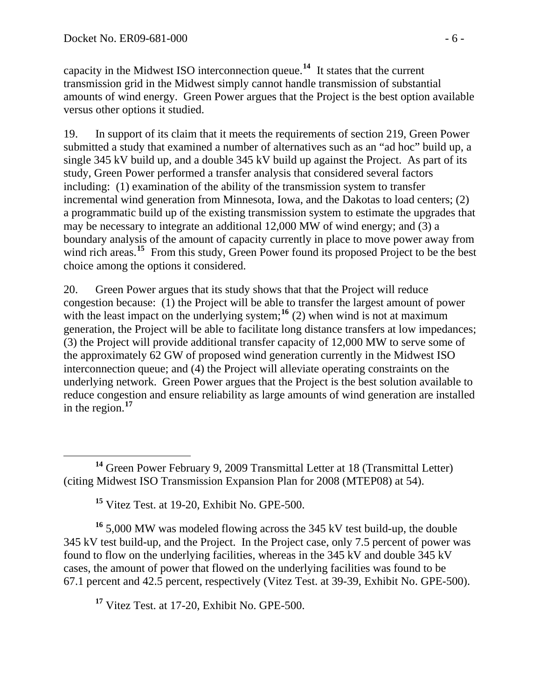capacity in the Midwest ISO interconnection queue.**<sup>14</sup>** It states that the current transmission grid in the Midwest simply cannot handle transmission of substantial amounts of wind energy. Green Power argues that the Project is the best option available versus other options it studied.

19. In support of its claim that it meets the requirements of section 219, Green Power submitted a study that examined a number of alternatives such as an "ad hoc" build up, a single 345 kV build up, and a double 345 kV build up against the Project. As part of its study, Green Power performed a transfer analysis that considered several factors including: (1) examination of the ability of the transmission system to transfer incremental wind generation from Minnesota, Iowa, and the Dakotas to load centers; (2) a programmatic build up of the existing transmission system to estimate the upgrades that may be necessary to integrate an additional 12,000 MW of wind energy; and (3) a boundary analysis of the amount of capacity currently in place to move power away from wind rich areas.<sup>[15](#page-5-0)</sup> From this study, Green Power found its proposed Project to be the best choice among the options it considered.

20. Green Power argues that its study shows that that the Project will reduce congestion because: (1) the Project will be able to transfer the largest amount of power with the least impact on the underlying system;<sup>[16](#page-5-1)</sup> (2) when wind is not at maximum generation, the Project will be able to facilitate long distance transfers at low impedances; (3) the Project will provide additional transfer capacity of 12,000 MW to serve some of the approximately 62 GW of proposed wind generation currently in the Midwest ISO interconnection queue; and (4) the Project will alleviate operating constraints on the underlying network. Green Power argues that the Project is the best solution available to reduce congestion and ensure reliability as large amounts of wind generation are installed in the region.**[17](#page-5-2)**

<span id="page-5-1"></span><span id="page-5-0"></span>**<sup>16</sup>** 5,000 MW was modeled flowing across the 345 kV test build-up, the double 345 kV test build-up, and the Project. In the Project case, only 7.5 percent of power was found to flow on the underlying facilities, whereas in the 345 kV and double 345 kV cases, the amount of power that flowed on the underlying facilities was found to be 67.1 percent and 42.5 percent, respectively (Vitez Test. at 39-39, Exhibit No. GPE-500).

<span id="page-5-2"></span>**<sup>17</sup>** Vitez Test. at 17-20, Exhibit No. GPE-500.

**<sup>14</sup>** Green Power February 9, 2009 Transmittal Letter at 18 (Transmittal Letter) (citing Midwest ISO Transmission Expansion Plan for 2008 (MTEP08) at 54).

**<sup>15</sup>** Vitez Test. at 19-20, Exhibit No. GPE-500.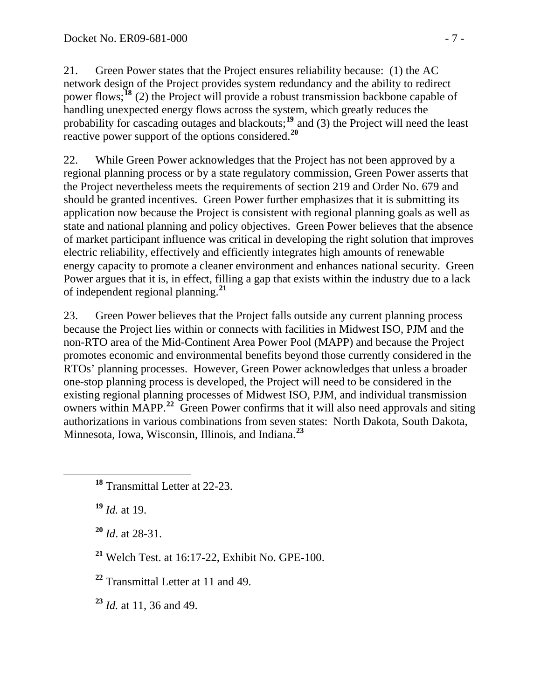21. Green Power states that the Project ensures reliability because: (1) the AC network design of the Project provides system redundancy and the ability to redirect power flows;**[18](#page-6-0)** (2) the Project will provide a robust transmission backbone capable of handling unexpected energy flows across the system, which greatly reduces the probability for cascading outages and blackouts;**[19](#page-6-1)** and (3) the Project will need the least reactive power support of the options considered.**[20](#page-6-2)**

22. While Green Power acknowledges that the Project has not been approved by a regional planning process or by a state regulatory commission, Green Power asserts that the Project nevertheless meets the requirements of section 219 and Order No. 679 and should be granted incentives. Green Power further emphasizes that it is submitting its application now because the Project is consistent with regional planning goals as well as state and national planning and policy objectives. Green Power believes that the absence of market participant influence was critical in developing the right solution that improves electric reliability, effectively and efficiently integrates high amounts of renewable energy capacity to promote a cleaner environment and enhances national security. Green Power argues that it is, in effect, filling a gap that exists within the industry due to a lack of independent regional planning.**[21](#page-6-3)**

23. Green Power believes that the Project falls outside any current planning process because the Project lies within or connects with facilities in Midwest ISO, PJM and the non-RTO area of the Mid-Continent Area Power Pool (MAPP) and because the Project promotes economic and environmental benefits beyond those currently considered in the RTOs' planning processes. However, Green Power acknowledges that unless a broader one-stop planning process is developed, the Project will need to be considered in the existing regional planning processes of Midwest ISO, PJM, and individual transmission owners within MAPP.**[22](#page-6-4)** Green Power confirms that it will also need approvals and siting authorizations in various combinations from seven states: North Dakota, South Dakota, Minnesota, Iowa, Wisconsin, Illinois, and Indiana.**[23](#page-6-5)**

<span id="page-6-1"></span>**<sup>19</sup>** *Id.* at 19.

<span id="page-6-2"></span>**<sup>20</sup>** *Id*. at 28-31.

<span id="page-6-3"></span>**<sup>21</sup>** Welch Test. at 16:17-22, Exhibit No. GPE-100.

<span id="page-6-4"></span>**<sup>22</sup>** Transmittal Letter at 11 and 49.

<span id="page-6-5"></span>**<sup>23</sup>** *Id.* at 11, 36 and 49.

<span id="page-6-0"></span>**<sup>18</sup>** Transmittal Letter at 22-23.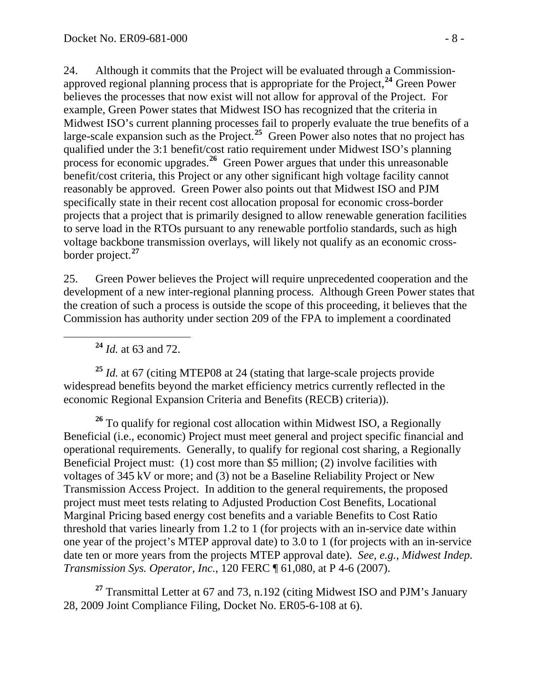24. Although it commits that the Project will be evaluated through a Commissionapproved regional planning process that is appropriate for the Project,**[24](#page-7-0)** Green Power believes the processes that now exist will not allow for approval of the Project. For example, Green Power states that Midwest ISO has recognized that the criteria in Midwest ISO's current planning processes fail to properly evaluate the true benefits of a large-scale expansion such as the Project.**[25](#page-7-1)** Green Power also notes that no project has qualified under the 3:1 benefit/cost ratio requirement under Midwest ISO's planning process for economic upgrades.**[26](#page-7-2)** Green Power argues that under this unreasonable benefit/cost criteria, this Project or any other significant high voltage facility cannot reasonably be approved. Green Power also points out that Midwest ISO and PJM specifically state in their recent cost allocation proposal for economic cross-border projects that a project that is primarily designed to allow renewable generation facilities to serve load in the RTOs pursuant to any renewable portfolio standards, such as high voltage backbone transmission overlays, will likely not qualify as an economic crossborder project.**[27](#page-7-3)**

25. Green Power believes the Project will require unprecedented cooperation and the development of a new inter-regional planning process. Although Green Power states that the creation of such a process is outside the scope of this proceeding, it believes that the Commission has authority under section 209 of the FPA to implement a coordinated

**<sup>24</sup>** *Id.* at 63 and 72.

<span id="page-7-1"></span><span id="page-7-0"></span>**<sup>25</sup>** *Id.* at 67 (citing MTEP08 at 24 (stating that large-scale projects provide widespread benefits beyond the market efficiency metrics currently reflected in the economic Regional Expansion Criteria and Benefits (RECB) criteria)).

<span id="page-7-2"></span>**<sup>26</sup>** To qualify for regional cost allocation within Midwest ISO, a Regionally Beneficial (i.e., economic) Project must meet general and project specific financial and operational requirements. Generally, to qualify for regional cost sharing, a Regionally Beneficial Project must: (1) cost more than \$5 million; (2) involve facilities with voltages of 345 kV or more; and (3) not be a Baseline Reliability Project or New Transmission Access Project. In addition to the general requirements, the proposed project must meet tests relating to Adjusted Production Cost Benefits, Locational Marginal Pricing based energy cost benefits and a variable Benefits to Cost Ratio threshold that varies linearly from 1.2 to 1 (for projects with an in-service date within one year of the project's MTEP approval date) to 3.0 to 1 (for projects with an in-service date ten or more years from the projects MTEP approval date). *See, e.g.*, *Midwest Indep. Transmission Sys. Operator, Inc.*, 120 FERC ¶ 61,080, at P 4-6 (2007).

<span id="page-7-3"></span>**<sup>27</sup>** Transmittal Letter at 67 and 73, n.192 (citing Midwest ISO and PJM's January 28, 2009 Joint Compliance Filing, Docket No. ER05-6-108 at 6).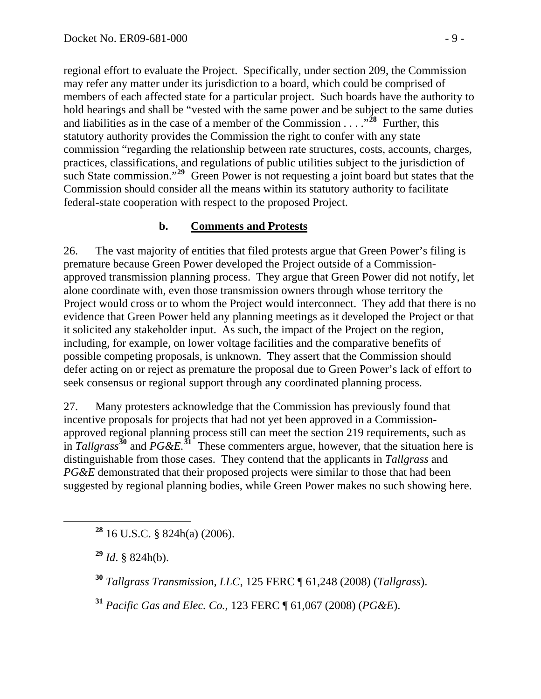regional effort to evaluate the Project. Specifically, under section 209, the Commission may refer any matter under its jurisdiction to a board, which could be comprised of members of each affected state for a particular project. Such boards have the authority to hold hearings and shall be "vested with the same power and be subject to the same duties and liabilities as in the case of a member of the Commission  $\ldots$ <sup>28</sup> Further, this statutory authority provides the Commission the right to confer with any state commission "regarding the relationship between rate structures, costs, accounts, charges, practices, classifications, and regulations of public utilities subject to the jurisdiction of such State commission."<sup>29</sup> Green Power is not requesting a joint board but states that the Commission should consider all the means within its statutory authority to facilitate federal-state cooperation with respect to the proposed Project.

#### **b. Comments and Protests**

26. The vast majority of entities that filed protests argue that Green Power's filing is premature because Green Power developed the Project outside of a Commissionapproved transmission planning process. They argue that Green Power did not notify, let alone coordinate with, even those transmission owners through whose territory the Project would cross or to whom the Project would interconnect. They add that there is no evidence that Green Power held any planning meetings as it developed the Project or that it solicited any stakeholder input. As such, the impact of the Project on the region, including, for example, on lower voltage facilities and the comparative benefits of possible competing proposals, is unknown. They assert that the Commission should defer acting on or reject as premature the proposal due to Green Power's lack of effort to seek consensus or regional support through any coordinated planning process.

27. Many protesters acknowledge that the Commission has previously found that incentive proposals for projects that had not yet been approved in a Commissionapproved regional planning process still can meet the section 219 requirements, such as in *Tallgrass***[30](#page-8-0)** and *PG&E.***[31](#page-8-1)**These commenters argue, however, that the situation here is distinguishable from those cases. They contend that the applicants in *Tallgrass* and *PG&E* demonstrated that their proposed projects were similar to those that had been suggested by regional planning bodies, while Green Power makes no such showing here.

**<sup>28</sup>** 16 U.S.C. § 824h(a) (2006).

**<sup>29</sup>** *Id*. § 824h(b).

<span id="page-8-0"></span>**<sup>30</sup>** *Tallgrass Transmission, LLC*, 125 FERC ¶ 61,248 (2008) (*Tallgrass*).

<span id="page-8-1"></span>**<sup>31</sup>** *Pacific Gas and Elec. Co.*, 123 FERC ¶ 61,067 (2008) (*PG&E*).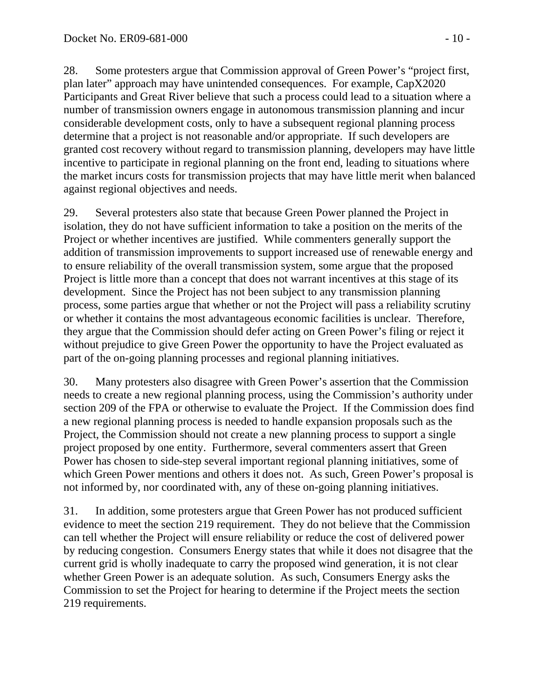28. Some protesters argue that Commission approval of Green Power's "project first, plan later" approach may have unintended consequences. For example, CapX2020 Participants and Great River believe that such a process could lead to a situation where a number of transmission owners engage in autonomous transmission planning and incur considerable development costs, only to have a subsequent regional planning process determine that a project is not reasonable and/or appropriate. If such developers are granted cost recovery without regard to transmission planning, developers may have little incentive to participate in regional planning on the front end, leading to situations where the market incurs costs for transmission projects that may have little merit when balanced against regional objectives and needs.

29. Several protesters also state that because Green Power planned the Project in isolation, they do not have sufficient information to take a position on the merits of the Project or whether incentives are justified. While commenters generally support the addition of transmission improvements to support increased use of renewable energy and to ensure reliability of the overall transmission system, some argue that the proposed Project is little more than a concept that does not warrant incentives at this stage of its development. Since the Project has not been subject to any transmission planning process, some parties argue that whether or not the Project will pass a reliability scrutiny or whether it contains the most advantageous economic facilities is unclear. Therefore, they argue that the Commission should defer acting on Green Power's filing or reject it without prejudice to give Green Power the opportunity to have the Project evaluated as part of the on-going planning processes and regional planning initiatives.

30. Many protesters also disagree with Green Power's assertion that the Commission needs to create a new regional planning process, using the Commission's authority under section 209 of the FPA or otherwise to evaluate the Project. If the Commission does find a new regional planning process is needed to handle expansion proposals such as the Project, the Commission should not create a new planning process to support a single project proposed by one entity. Furthermore, several commenters assert that Green Power has chosen to side-step several important regional planning initiatives, some of which Green Power mentions and others it does not. As such, Green Power's proposal is not informed by, nor coordinated with, any of these on-going planning initiatives.

31. In addition, some protesters argue that Green Power has not produced sufficient evidence to meet the section 219 requirement. They do not believe that the Commission can tell whether the Project will ensure reliability or reduce the cost of delivered power by reducing congestion. Consumers Energy states that while it does not disagree that the current grid is wholly inadequate to carry the proposed wind generation, it is not clear whether Green Power is an adequate solution. As such, Consumers Energy asks the Commission to set the Project for hearing to determine if the Project meets the section 219 requirements.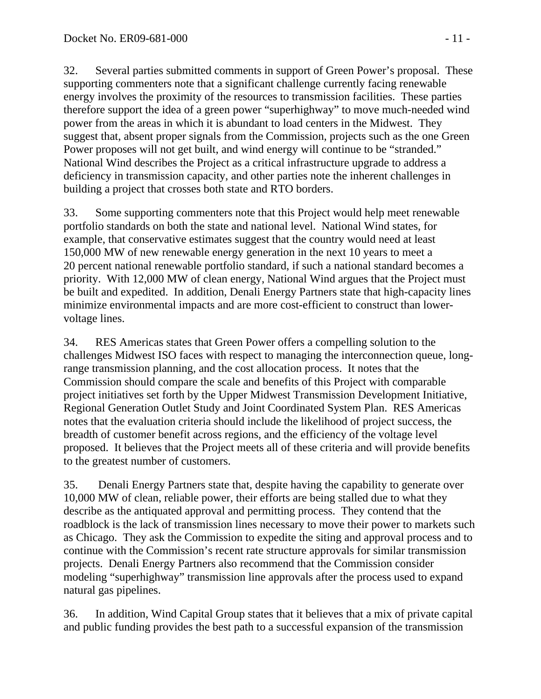32. Several parties submitted comments in support of Green Power's proposal. These supporting commenters note that a significant challenge currently facing renewable energy involves the proximity of the resources to transmission facilities. These parties therefore support the idea of a green power "superhighway" to move much-needed wind power from the areas in which it is abundant to load centers in the Midwest. They suggest that, absent proper signals from the Commission, projects such as the one Green Power proposes will not get built, and wind energy will continue to be "stranded." National Wind describes the Project as a critical infrastructure upgrade to address a deficiency in transmission capacity, and other parties note the inherent challenges in building a project that crosses both state and RTO borders.

33. Some supporting commenters note that this Project would help meet renewable portfolio standards on both the state and national level. National Wind states, for example, that conservative estimates suggest that the country would need at least 150,000 MW of new renewable energy generation in the next 10 years to meet a 20 percent national renewable portfolio standard, if such a national standard becomes a priority. With 12,000 MW of clean energy, National Wind argues that the Project must be built and expedited. In addition, Denali Energy Partners state that high-capacity lines minimize environmental impacts and are more cost-efficient to construct than lowervoltage lines.

34. RES Americas states that Green Power offers a compelling solution to the challenges Midwest ISO faces with respect to managing the interconnection queue, longrange transmission planning, and the cost allocation process. It notes that the Commission should compare the scale and benefits of this Project with comparable project initiatives set forth by the Upper Midwest Transmission Development Initiative, Regional Generation Outlet Study and Joint Coordinated System Plan. RES Americas notes that the evaluation criteria should include the likelihood of project success, the breadth of customer benefit across regions, and the efficiency of the voltage level proposed. It believes that the Project meets all of these criteria and will provide benefits to the greatest number of customers.

35. Denali Energy Partners state that, despite having the capability to generate over 10,000 MW of clean, reliable power, their efforts are being stalled due to what they describe as the antiquated approval and permitting process. They contend that the roadblock is the lack of transmission lines necessary to move their power to markets such as Chicago. They ask the Commission to expedite the siting and approval process and to continue with the Commission's recent rate structure approvals for similar transmission projects. Denali Energy Partners also recommend that the Commission consider modeling "superhighway" transmission line approvals after the process used to expand natural gas pipelines.

36. In addition, Wind Capital Group states that it believes that a mix of private capital and public funding provides the best path to a successful expansion of the transmission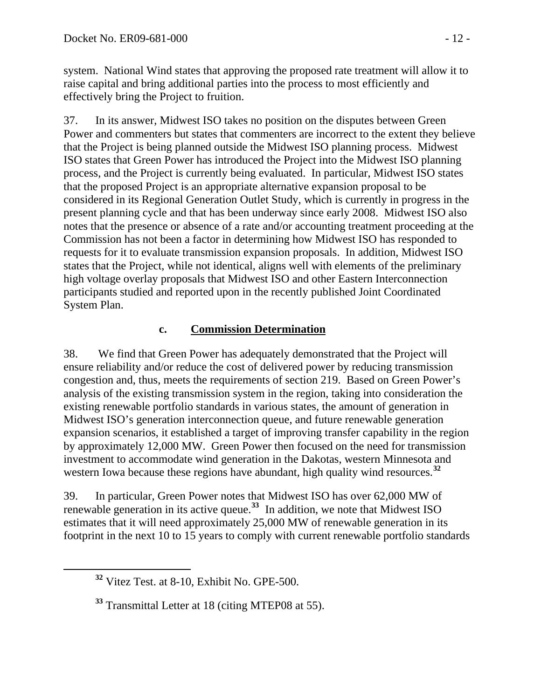system. National Wind states that approving the proposed rate treatment will allow it to raise capital and bring additional parties into the process to most efficiently and effectively bring the Project to fruition.

37. In its answer, Midwest ISO takes no position on the disputes between Green Power and commenters but states that commenters are incorrect to the extent they believe that the Project is being planned outside the Midwest ISO planning process. Midwest ISO states that Green Power has introduced the Project into the Midwest ISO planning process, and the Project is currently being evaluated. In particular, Midwest ISO states that the proposed Project is an appropriate alternative expansion proposal to be considered in its Regional Generation Outlet Study, which is currently in progress in the present planning cycle and that has been underway since early 2008. Midwest ISO also notes that the presence or absence of a rate and/or accounting treatment proceeding at the Commission has not been a factor in determining how Midwest ISO has responded to requests for it to evaluate transmission expansion proposals. In addition, Midwest ISO states that the Project, while not identical, aligns well with elements of the preliminary high voltage overlay proposals that Midwest ISO and other Eastern Interconnection participants studied and reported upon in the recently published Joint Coordinated System Plan.

### **c. Commission Determination**

38. We find that Green Power has adequately demonstrated that the Project will ensure reliability and/or reduce the cost of delivered power by reducing transmission congestion and, thus, meets the requirements of section 219. Based on Green Power's analysis of the existing transmission system in the region, taking into consideration the existing renewable portfolio standards in various states, the amount of generation in Midwest ISO's generation interconnection queue, and future renewable generation expansion scenarios, it established a target of improving transfer capability in the region by approximately 12,000 MW. Green Power then focused on the need for transmission investment to accommodate wind generation in the Dakotas, western Minnesota and western Iowa because these regions have abundant, high quality wind resources.**[32](#page-11-0)**

39. In particular, Green Power notes that Midwest ISO has over 62,000 MW of renewable generation in its active queue.**[33](#page-11-1)** In addition, we note that Midwest ISO estimates that it will need approximately 25,000 MW of renewable generation in its footprint in the next 10 to 15 years to comply with current renewable portfolio standards

<span id="page-11-0"></span>**<sup>32</sup>** Vitez Test. at 8-10, Exhibit No. GPE-500.

<span id="page-11-1"></span>**<sup>33</sup>** Transmittal Letter at 18 (citing MTEP08 at 55).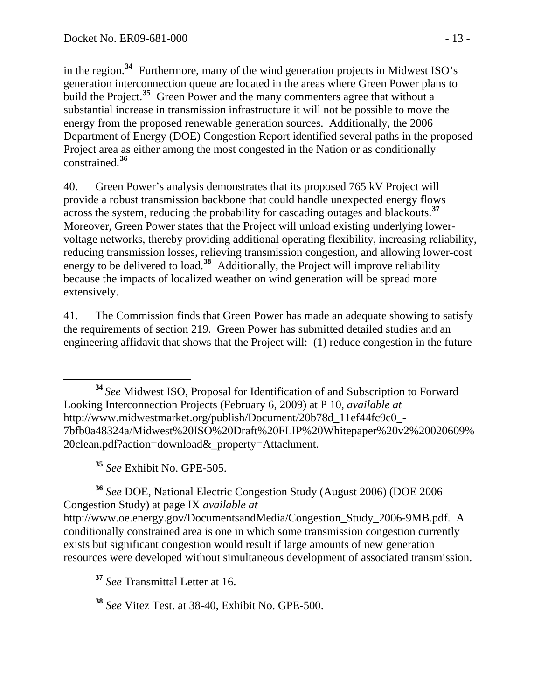in the region.**<sup>34</sup>** Furthermore, many of the wind generation projects in Midwest ISO's generation interconnection queue are located in the areas where Green Power plans to build the Project.<sup>35</sup> Green Power and the many commenters agree that without a substantial increase in transmission infrastructure it will not be possible to move the energy from the proposed renewable generation sources. Additionally, the 2006 Department of Energy (DOE) Congestion Report identified several paths in the proposed Project area as either among the most congested in the Nation or as conditionally constrained.**<sup>36</sup>**

40. Green Power's analysis demonstrates that its proposed 765 kV Project will provide a robust transmission backbone that could handle unexpected energy flows across the system, reducing the probability for cascading outages and blackouts.**[37](#page-12-0)** Moreover, Green Power states that the Project will unload existing underlying lowervoltage networks, thereby providing additional operating flexibility, increasing reliability, reducing transmission losses, relieving transmission congestion, and allowing lower-cost energy to be delivered to load.**[38](#page-12-1)** Additionally, the Project will improve reliability because the impacts of localized weather on wind generation will be spread more extensively.

41. The Commission finds that Green Power has made an adequate showing to satisfy the requirements of section 219. Green Power has submitted detailed studies and an engineering affidavit that shows that the Project will: (1) reduce congestion in the future

 **<sup>34</sup>***See* Midwest ISO, Proposal for Identification of and Subscription to Forward Looking Interconnection Projects (February 6, 2009) at P 10, *available at* [http://www.midwestmarket.org/publish/Document/20b78d\\_11ef44fc9c0\\_-](http://www.midwestmarket.org/publish/Document/20b78d_11ef44fc9c0_-7bfb0a48324a/Midwest%20ISO%20Draft%20FLIP%20Whitepaper%20v2%20020609%20clean.pdf?action=download&_property=Attachment) [7bfb0a48324a/Midwest%20ISO%20Draft%20FLIP%20Whitepaper%20v2%20020609%](http://www.midwestmarket.org/publish/Document/20b78d_11ef44fc9c0_-7bfb0a48324a/Midwest%20ISO%20Draft%20FLIP%20Whitepaper%20v2%20020609%20clean.pdf?action=download&_property=Attachment) [20clean.pdf?action=download&\\_property=Attachment.](http://www.midwestmarket.org/publish/Document/20b78d_11ef44fc9c0_-7bfb0a48324a/Midwest%20ISO%20Draft%20FLIP%20Whitepaper%20v2%20020609%20clean.pdf?action=download&_property=Attachment)

**<sup>35</sup>** *See* Exhibit No. GPE-505.

**<sup>36</sup>** *See* DOE, National Electric Congestion Study (August 2006) (DOE 2006 Congestion Study) at page IX *available at* http://www.oe.energy.gov/DocumentsandMedia/Congestion\_Study\_2006-9MB.pdf. A conditionally constrained area is one in which some transmission congestion currently exists but significant congestion would result if large amounts of new generation resources were developed without simultaneous development of associated transmission.

<span id="page-12-0"></span>**<sup>37</sup>** *See* Transmittal Letter at 16.

<span id="page-12-1"></span>**<sup>38</sup>** *See* Vitez Test. at 38-40, Exhibit No. GPE-500.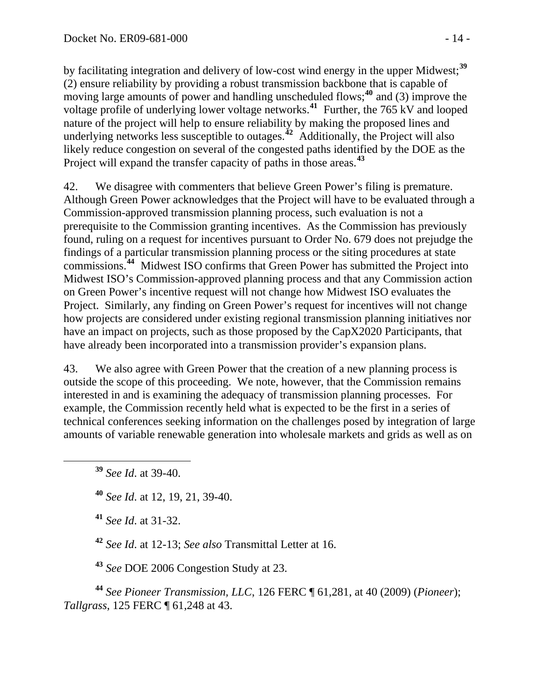by facilitating integration and delivery of low-cost wind energy in the upper Midwest;**<sup>39</sup>** (2) ensure reliability by providing a robust transmission backbone that is capable of moving large amounts of power and handling unscheduled flows;<sup>40</sup> and (3) improve the voltage profile of underlying lower voltage networks.**<sup>41</sup>** Further, the 765 kV and looped nature of the project will help to ensure reliability by making the proposed lines and underlying networks less susceptible to outages.**<sup>42</sup>** Additionally, the Project will also likely reduce congestion on several of the congested paths identified by the DOE as the Project will expand the transfer capacity of paths in those areas.<sup>43</sup>

42. We disagree with commenters that believe Green Power's filing is premature. Although Green Power acknowledges that the Project will have to be evaluated through a Commission-approved transmission planning process, such evaluation is not a prerequisite to the Commission granting incentives. As the Commission has previously found, ruling on a request for incentives pursuant to Order No. 679 does not prejudge the findings of a particular transmission planning process or the siting procedures at state commissions.**[44](#page-13-0)** Midwest ISO confirms that Green Power has submitted the Project into Midwest ISO's Commission-approved planning process and that any Commission action on Green Power's incentive request will not change how Midwest ISO evaluates the Project. Similarly, any finding on Green Power's request for incentives will not change how projects are considered under existing regional transmission planning initiatives nor have an impact on projects, such as those proposed by the CapX2020 Participants, that have already been incorporated into a transmission provider's expansion plans.

43. We also agree with Green Power that the creation of a new planning process is outside the scope of this proceeding. We note, however, that the Commission remains interested in and is examining the adequacy of transmission planning processes. For example, the Commission recently held what is expected to be the first in a series of technical conferences seeking information on the challenges posed by integration of large amounts of variable renewable generation into wholesale markets and grids as well as on

**<sup>39</sup>** *See Id*. at 39-40.

**<sup>40</sup>** *See Id*. at 12, 19, 21, 39-40.

**<sup>41</sup>** *See Id*. at 31-32.

**<sup>42</sup>** *See Id*. at 12-13; *See also* Transmittal Letter at 16.

**<sup>43</sup>** *See* DOE 2006 Congestion Study at 23.

<span id="page-13-0"></span>**<sup>44</sup>** *See Pioneer Transmission, LLC*, 126 FERC ¶ 61,281, at 40 (2009) (*Pioneer*); *Tallgrass*, 125 FERC ¶ 61,248 at 43.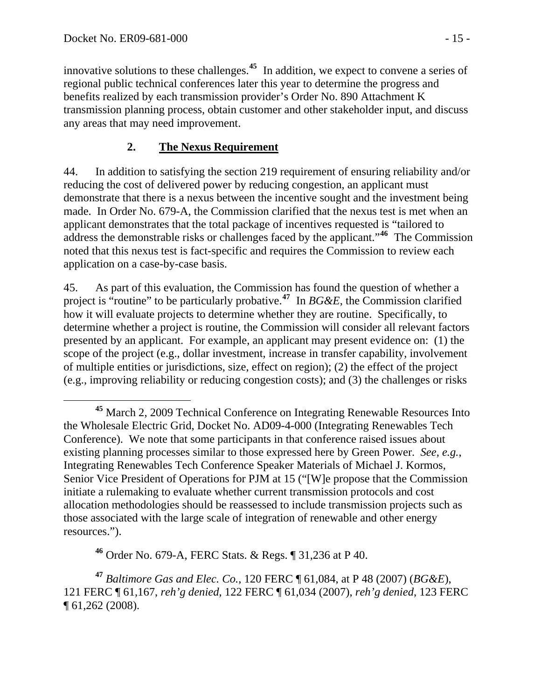innovative solutions to these challenges.**<sup>45</sup>** In addition, we expect to convene a series of regional public technical conferences later this year to determine the progress and benefits realized by each transmission provider's Order No. 890 Attachment K transmission planning process, obtain customer and other stakeholder input, and discuss any areas that may need improvement.

## **2. The Nexus Requirement**

44. In addition to satisfying the section 219 requirement of ensuring reliability and/or reducing the cost of delivered power by reducing congestion, an applicant must demonstrate that there is a nexus between the incentive sought and the investment being made. In Order No. 679-A, the Commission clarified that the nexus test is met when an applicant demonstrates that the total package of incentives requested is "tailored to address the demonstrable risks or challenges faced by the applicant."**[46](#page-14-0)** The Commission noted that this nexus test is fact-specific and requires the Commission to review each application on a case-by-case basis.

45. As part of this evaluation, the Commission has found the question of whether a project is "routine" to be particularly probative.**[47](#page-14-1)** In *BG&E*, the Commission clarified how it will evaluate projects to determine whether they are routine. Specifically, to determine whether a project is routine, the Commission will consider all relevant factors presented by an applicant. For example, an applicant may present evidence on: (1) the scope of the project (e.g., dollar investment, increase in transfer capability, involvement of multiple entities or jurisdictions, size, effect on region); (2) the effect of the project (e.g., improving reliability or reducing congestion costs); and (3) the challenges or risks

**<sup>46</sup>** Order No. 679-A, FERC Stats. & Regs. ¶ 31,236 at P 40.

<span id="page-14-1"></span><span id="page-14-0"></span>**<sup>47</sup>** *Baltimore Gas and Elec. Co.*, 120 FERC ¶ 61,084, at P 48 (2007) (*BG&E*), 121 FERC ¶ 61,167, *reh'g denied*, 122 FERC ¶ 61,034 (2007), *reh'g denied*, 123 FERC ¶ 61,262 (2008).

**<sup>45</sup>** March 2, 2009 Technical Conference on Integrating Renewable Resources Into the Wholesale Electric Grid, Docket No. AD09-4-000 (Integrating Renewables Tech Conference). We note that some participants in that conference raised issues about existing planning processes similar to those expressed here by Green Power. *See, e.g.*, Integrating Renewables Tech Conference Speaker Materials of Michael J. Kormos, Senior Vice President of Operations for PJM at 15 ("[W]e propose that the Commission initiate a rulemaking to evaluate whether current transmission protocols and cost allocation methodologies should be reassessed to include transmission projects such as those associated with the large scale of integration of renewable and other energy resources.").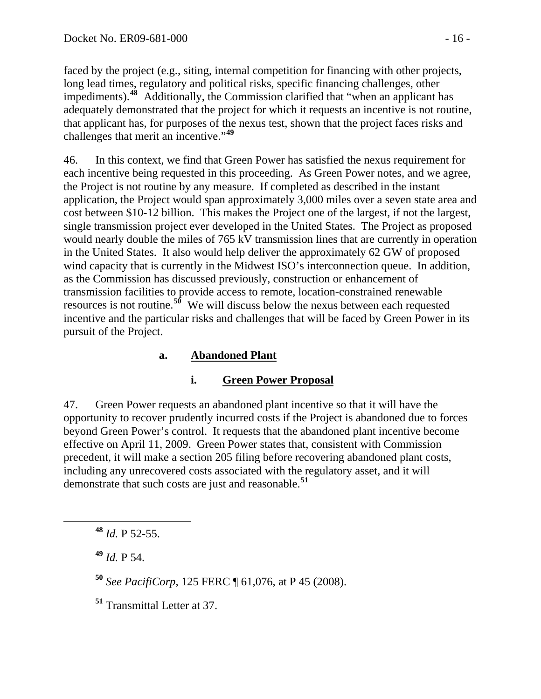faced by the project (e.g., siting, internal competition for financing with other projects, long lead times, regulatory and political risks, specific financing challenges, other impediments).**<sup>48</sup>** Additionally, the Commission clarified that "when an applicant has adequately demonstrated that the project for which it requests an incentive is not routine, that applicant has, for purposes of the nexus test, shown that the project faces risks and challenges that merit an incentive."**<sup>49</sup>**

46. In this context, we find that Green Power has satisfied the nexus requirement for each incentive being requested in this proceeding. As Green Power notes, and we agree, the Project is not routine by any measure. If completed as described in the instant application, the Project would span approximately 3,000 miles over a seven state area and cost between \$10-12 billion. This makes the Project one of the largest, if not the largest, single transmission project ever developed in the United States. The Project as proposed would nearly double the miles of 765 kV transmission lines that are currently in operation in the United States. It also would help deliver the approximately 62 GW of proposed wind capacity that is currently in the Midwest ISO's interconnection queue. In addition, as the Commission has discussed previously, construction or enhancement of transmission facilities to provide access to remote, location-constrained renewable resources is not routine.**[50](#page-15-0)** We will discuss below the nexus between each requested incentive and the particular risks and challenges that will be faced by Green Power in its pursuit of the Project.

## **a. Abandoned Plant**

#### **i. Green Power Proposal**

47. Green Power requests an abandoned plant incentive so that it will have the opportunity to recover prudently incurred costs if the Project is abandoned due to forces beyond Green Power's control. It requests that the abandoned plant incentive become effective on April 11, 2009. Green Power states that, consistent with Commission precedent, it will make a section 205 filing before recovering abandoned plant costs, including any unrecovered costs associated with the regulatory asset, and it will demonstrate that such costs are just and reasonable.**[51](#page-15-1)**

**<sup>48</sup>** *Id.* P 52-55.

**<sup>49</sup>** *Id.* P 54.

<span id="page-15-0"></span>**<sup>50</sup>** *See PacifiCorp*, 125 FERC ¶ 61,076, at P 45 (2008).

<span id="page-15-1"></span>**<sup>51</sup>** Transmittal Letter at 37.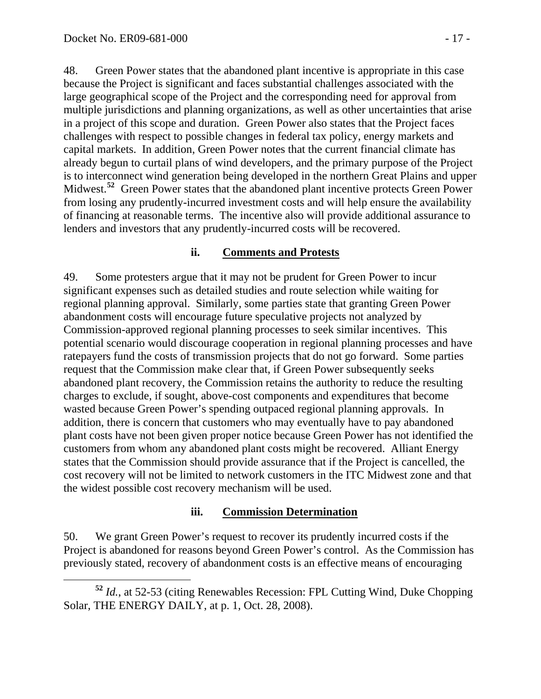48. Green Power states that the abandoned plant incentive is appropriate in this case because the Project is significant and faces substantial challenges associated with the large geographical scope of the Project and the corresponding need for approval from multiple jurisdictions and planning organizations, as well as other uncertainties that arise in a project of this scope and duration. Green Power also states that the Project faces challenges with respect to possible changes in federal tax policy, energy markets and capital markets. In addition, Green Power notes that the current financial climate has already begun to curtail plans of wind developers, and the primary purpose of the Project is to interconnect wind generation being developed in the northern Great Plains and upper Midwest.<sup>[52](#page-16-0)</sup> Green Power states that the abandoned plant incentive protects Green Power from losing any prudently-incurred investment costs and will help ensure the availability of financing at reasonable terms. The incentive also will provide additional assurance to lenders and investors that any prudently-incurred costs will be recovered.

#### **ii. Comments and Protests**

49. Some protesters argue that it may not be prudent for Green Power to incur significant expenses such as detailed studies and route selection while waiting for regional planning approval. Similarly, some parties state that granting Green Power abandonment costs will encourage future speculative projects not analyzed by Commission-approved regional planning processes to seek similar incentives. This potential scenario would discourage cooperation in regional planning processes and have ratepayers fund the costs of transmission projects that do not go forward. Some parties request that the Commission make clear that, if Green Power subsequently seeks abandoned plant recovery, the Commission retains the authority to reduce the resulting charges to exclude, if sought, above-cost components and expenditures that become wasted because Green Power's spending outpaced regional planning approvals. In addition, there is concern that customers who may eventually have to pay abandoned plant costs have not been given proper notice because Green Power has not identified the customers from whom any abandoned plant costs might be recovered. Alliant Energy states that the Commission should provide assurance that if the Project is cancelled, the cost recovery will not be limited to network customers in the ITC Midwest zone and that the widest possible cost recovery mechanism will be used.

#### **iii. Commission Determination**

50. We grant Green Power's request to recover its prudently incurred costs if the Project is abandoned for reasons beyond Green Power's control. As the Commission has previously stated, recovery of abandonment costs is an effective means of encouraging

<span id="page-16-0"></span>**<sup>52</sup>** *Id.*, at 52-53 (citing Renewables Recession: FPL Cutting Wind, Duke Chopping Solar, THE ENERGY DAILY, at p. 1, Oct. 28, 2008).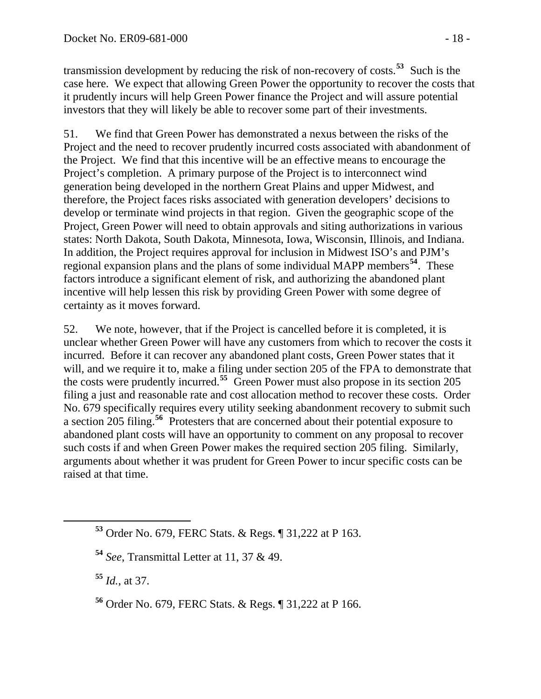transmission development by reducing the risk of non-recovery of costs.**<sup>53</sup>** Such is the case here. We expect that allowing Green Power the opportunity to recover the costs that it prudently incurs will help Green Power finance the Project and will assure potential investors that they will likely be able to recover some part of their investments.

51. We find that Green Power has demonstrated a nexus between the risks of the Project and the need to recover prudently incurred costs associated with abandonment of the Project. We find that this incentive will be an effective means to encourage the Project's completion. A primary purpose of the Project is to interconnect wind generation being developed in the northern Great Plains and upper Midwest, and therefore, the Project faces risks associated with generation developers' decisions to develop or terminate wind projects in that region. Given the geographic scope of the Project, Green Power will need to obtain approvals and siting authorizations in various states: North Dakota, South Dakota, Minnesota, Iowa, Wisconsin, Illinois, and Indiana. In addition, the Project requires approval for inclusion in Midwest ISO's and PJM's regional expansion plans and the plans of some individual MAPP members**[54](#page-17-0)**. These factors introduce a significant element of risk, and authorizing the abandoned plant incentive will help lessen this risk by providing Green Power with some degree of certainty as it moves forward.

52. We note, however, that if the Project is cancelled before it is completed, it is unclear whether Green Power will have any customers from which to recover the costs it incurred. Before it can recover any abandoned plant costs, Green Power states that it will, and we require it to, make a filing under section 205 of the FPA to demonstrate that the costs were prudently incurred.**[55](#page-17-1)** Green Power must also propose in its section 205 filing a just and reasonable rate and cost allocation method to recover these costs. Order No. 679 specifically requires every utility seeking abandonment recovery to submit such a section 205 filing.**[56](#page-17-2)** Protesters that are concerned about their potential exposure to abandoned plant costs will have an opportunity to comment on any proposal to recover such costs if and when Green Power makes the required section 205 filing. Similarly, arguments about whether it was prudent for Green Power to incur specific costs can be raised at that time.

<span id="page-17-1"></span>**<sup>55</sup>** *Id.*, at 37.

**<sup>53</sup>** Order No. 679, FERC Stats. & Regs. ¶ 31,222 at P 163.

<span id="page-17-0"></span>**<sup>54</sup>** *See*, Transmittal Letter at 11, 37 & 49.

<span id="page-17-2"></span>**<sup>56</sup>** Order No. 679, FERC Stats. & Regs. ¶ 31,222 at P 166.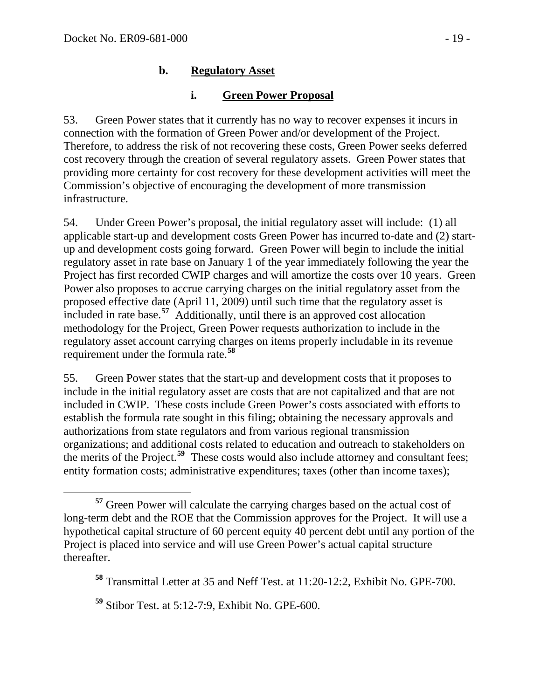#### **b. Regulatory Asset**

#### **i. Green Power Proposal**

53. Green Power states that it currently has no way to recover expenses it incurs in connection with the formation of Green Power and/or development of the Project. Therefore, to address the risk of not recovering these costs, Green Power seeks deferred cost recovery through the creation of several regulatory assets. Green Power states that providing more certainty for cost recovery for these development activities will meet the Commission's objective of encouraging the development of more transmission infrastructure.

54. Under Green Power's proposal, the initial regulatory asset will include: (1) all applicable start-up and development costs Green Power has incurred to-date and (2) startup and development costs going forward. Green Power will begin to include the initial regulatory asset in rate base on January 1 of the year immediately following the year the Project has first recorded CWIP charges and will amortize the costs over 10 years. Green Power also proposes to accrue carrying charges on the initial regulatory asset from the proposed effective date (April 11, 2009) until such time that the regulatory asset is included in rate base.**[57](#page-18-0)** Additionally, until there is an approved cost allocation methodology for the Project, Green Power requests authorization to include in the regulatory asset account carrying charges on items properly includable in its revenue requirement under the formula rate.**[58](#page-18-1)**

55. Green Power states that the start-up and development costs that it proposes to include in the initial regulatory asset are costs that are not capitalized and that are not included in CWIP. These costs include Green Power's costs associated with efforts to establish the formula rate sought in this filing; obtaining the necessary approvals and authorizations from state regulators and from various regional transmission organizations; and additional costs related to education and outreach to stakeholders on the merits of the Project.**[59](#page-18-2)** These costs would also include attorney and consultant fees; entity formation costs; administrative expenditures; taxes (other than income taxes);

<span id="page-18-1"></span>**<sup>58</sup>** Transmittal Letter at 35 and Neff Test. at 11:20-12:2, Exhibit No. GPE-700.

<span id="page-18-2"></span>**<sup>59</sup>** Stibor Test. at 5:12-7:9, Exhibit No. GPE-600.

<span id="page-18-0"></span>**<sup>57</sup>** Green Power will calculate the carrying charges based on the actual cost of long-term debt and the ROE that the Commission approves for the Project. It will use a hypothetical capital structure of 60 percent equity 40 percent debt until any portion of the Project is placed into service and will use Green Power's actual capital structure thereafter.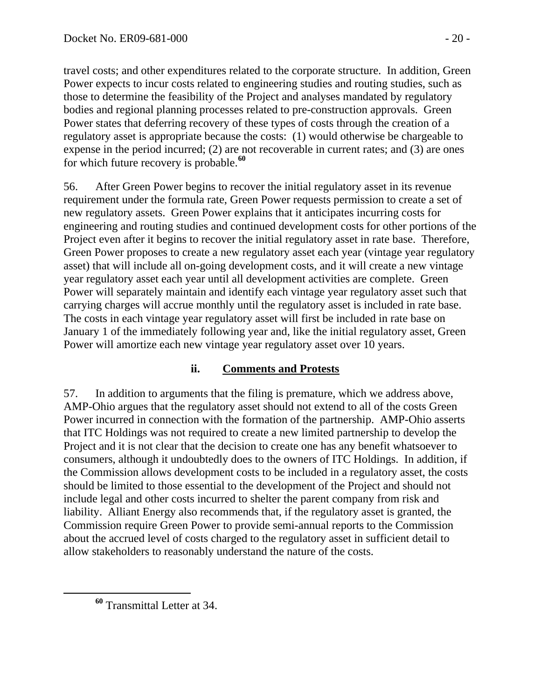travel costs; and other expenditures related to the corporate structure. In addition, Green Power expects to incur costs related to engineering studies and routing studies, such as those to determine the feasibility of the Project and analyses mandated by regulatory bodies and regional planning processes related to pre-construction approvals. Green Power states that deferring recovery of these types of costs through the creation of a regulatory asset is appropriate because the costs: (1) would otherwise be chargeable to expense in the period incurred; (2) are not recoverable in current rates; and (3) are ones for which future recovery is probable.**<sup>60</sup>**

56. After Green Power begins to recover the initial regulatory asset in its revenue requirement under the formula rate, Green Power requests permission to create a set of new regulatory assets. Green Power explains that it anticipates incurring costs for engineering and routing studies and continued development costs for other portions of the Project even after it begins to recover the initial regulatory asset in rate base. Therefore, Green Power proposes to create a new regulatory asset each year (vintage year regulatory asset) that will include all on-going development costs, and it will create a new vintage year regulatory asset each year until all development activities are complete. Green Power will separately maintain and identify each vintage year regulatory asset such that carrying charges will accrue monthly until the regulatory asset is included in rate base. The costs in each vintage year regulatory asset will first be included in rate base on January 1 of the immediately following year and, like the initial regulatory asset, Green Power will amortize each new vintage year regulatory asset over 10 years.

#### **ii. Comments and Protests**

57. In addition to arguments that the filing is premature, which we address above, AMP-Ohio argues that the regulatory asset should not extend to all of the costs Green Power incurred in connection with the formation of the partnership. AMP-Ohio asserts that ITC Holdings was not required to create a new limited partnership to develop the Project and it is not clear that the decision to create one has any benefit whatsoever to consumers, although it undoubtedly does to the owners of ITC Holdings. In addition, if the Commission allows development costs to be included in a regulatory asset, the costs should be limited to those essential to the development of the Project and should not include legal and other costs incurred to shelter the parent company from risk and liability. Alliant Energy also recommends that, if the regulatory asset is granted, the Commission require Green Power to provide semi-annual reports to the Commission about the accrued level of costs charged to the regulatory asset in sufficient detail to allow stakeholders to reasonably understand the nature of the costs.

**<sup>60</sup>** Transmittal Letter at 34.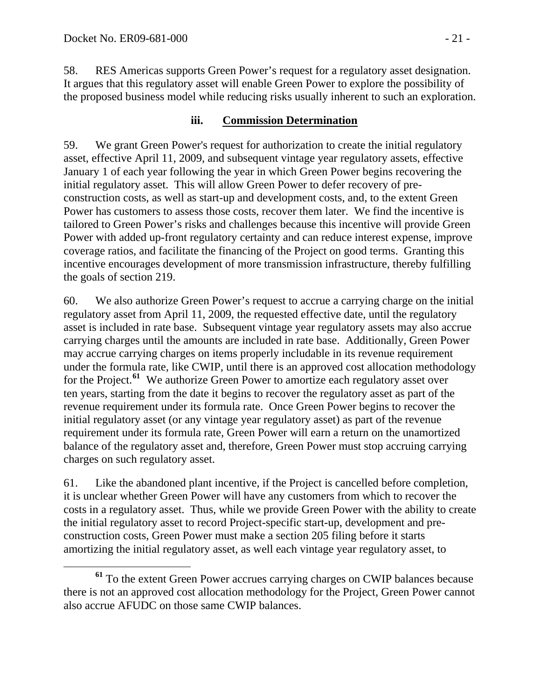58. RES Americas supports Green Power's request for a regulatory asset designation. It argues that this regulatory asset will enable Green Power to explore the possibility of the proposed business model while reducing risks usually inherent to such an exploration.

#### **iii. Commission Determination**

59. We grant Green Power's request for authorization to create the initial regulatory asset, effective April 11, 2009, and subsequent vintage year regulatory assets, effective January 1 of each year following the year in which Green Power begins recovering the initial regulatory asset. This will allow Green Power to defer recovery of preconstruction costs, as well as start-up and development costs, and, to the extent Green Power has customers to assess those costs, recover them later. We find the incentive is tailored to Green Power's risks and challenges because this incentive will provide Green Power with added up-front regulatory certainty and can reduce interest expense, improve coverage ratios, and facilitate the financing of the Project on good terms. Granting this incentive encourages development of more transmission infrastructure, thereby fulfilling the goals of section 219.

60. We also authorize Green Power's request to accrue a carrying charge on the initial regulatory asset from April 11, 2009, the requested effective date, until the regulatory asset is included in rate base. Subsequent vintage year regulatory assets may also accrue carrying charges until the amounts are included in rate base. Additionally, Green Power may accrue carrying charges on items properly includable in its revenue requirement under the formula rate, like CWIP, until there is an approved cost allocation methodology for the Project.**[61](#page-20-0)** We authorize Green Power to amortize each regulatory asset over ten years, starting from the date it begins to recover the regulatory asset as part of the revenue requirement under its formula rate. Once Green Power begins to recover the initial regulatory asset (or any vintage year regulatory asset) as part of the revenue requirement under its formula rate, Green Power will earn a return on the unamortized balance of the regulatory asset and, therefore, Green Power must stop accruing carrying charges on such regulatory asset.

61. Like the abandoned plant incentive, if the Project is cancelled before completion, it is unclear whether Green Power will have any customers from which to recover the costs in a regulatory asset. Thus, while we provide Green Power with the ability to create the initial regulatory asset to record Project-specific start-up, development and preconstruction costs, Green Power must make a section 205 filing before it starts amortizing the initial regulatory asset, as well each vintage year regulatory asset, to

<span id="page-20-0"></span>**<sup>61</sup>** To the extent Green Power accrues carrying charges on CWIP balances because there is not an approved cost allocation methodology for the Project, Green Power cannot also accrue AFUDC on those same CWIP balances.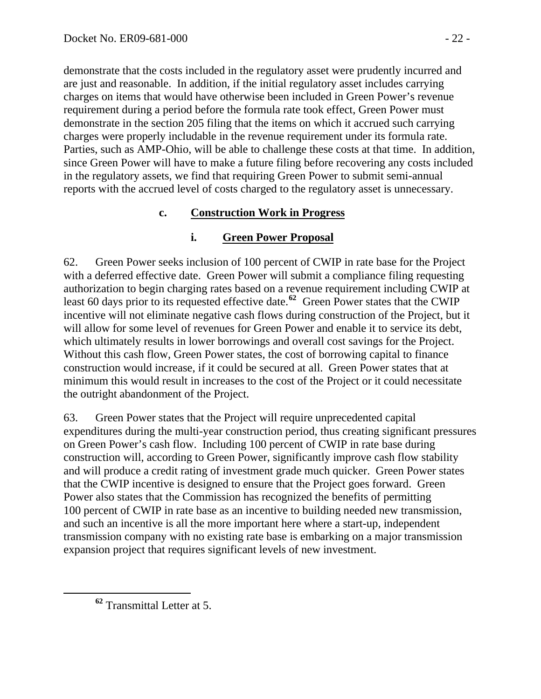demonstrate that the costs included in the regulatory asset were prudently incurred and are just and reasonable. In addition, if the initial regulatory asset includes carrying charges on items that would have otherwise been included in Green Power's revenue requirement during a period before the formula rate took effect, Green Power must demonstrate in the section 205 filing that the items on which it accrued such carrying charges were properly includable in the revenue requirement under its formula rate. Parties, such as AMP-Ohio, will be able to challenge these costs at that time. In addition, since Green Power will have to make a future filing before recovering any costs included in the regulatory assets, we find that requiring Green Power to submit semi-annual reports with the accrued level of costs charged to the regulatory asset is unnecessary.

### **c. Construction Work in Progress**

### **i. Green Power Proposal**

62. Green Power seeks inclusion of 100 percent of CWIP in rate base for the Project with a deferred effective date. Green Power will submit a compliance filing requesting authorization to begin charging rates based on a revenue requirement including CWIP at least 60 days prior to its requested effective date.**[62](#page-21-0)** Green Power states that the CWIP incentive will not eliminate negative cash flows during construction of the Project, but it will allow for some level of revenues for Green Power and enable it to service its debt, which ultimately results in lower borrowings and overall cost savings for the Project. Without this cash flow, Green Power states, the cost of borrowing capital to finance construction would increase, if it could be secured at all. Green Power states that at minimum this would result in increases to the cost of the Project or it could necessitate the outright abandonment of the Project.

63. Green Power states that the Project will require unprecedented capital expenditures during the multi-year construction period, thus creating significant pressures on Green Power's cash flow. Including 100 percent of CWIP in rate base during construction will, according to Green Power, significantly improve cash flow stability and will produce a credit rating of investment grade much quicker. Green Power states that the CWIP incentive is designed to ensure that the Project goes forward. Green Power also states that the Commission has recognized the benefits of permitting 100 percent of CWIP in rate base as an incentive to building needed new transmission, and such an incentive is all the more important here where a start-up, independent transmission company with no existing rate base is embarking on a major transmission expansion project that requires significant levels of new investment.

<span id="page-21-0"></span>**<sup>62</sup>** Transmittal Letter at 5.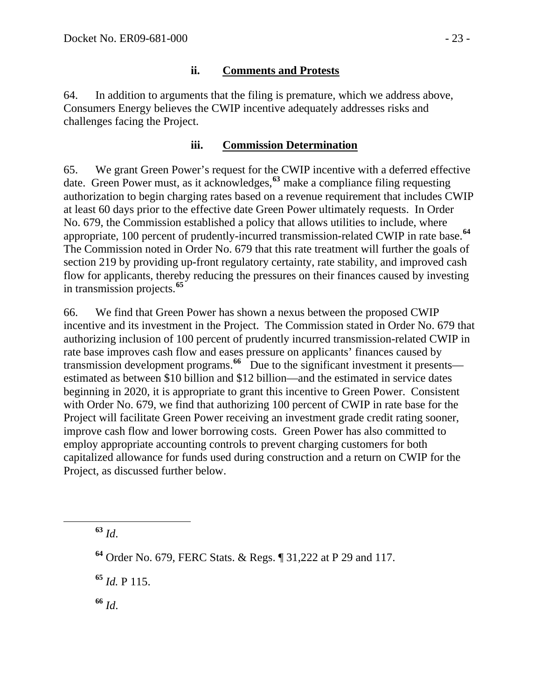#### **ii. Comments and Protests**

64. In addition to arguments that the filing is premature, which we address above, Consumers Energy believes the CWIP incentive adequately addresses risks and challenges facing the Project.

#### **iii. Commission Determination**

65. We grant Green Power's request for the CWIP incentive with a deferred effective date. Green Power must, as it acknowledges,**[63](#page-22-0)** make a compliance filing requesting authorization to begin charging rates based on a revenue requirement that includes CWIP at least 60 days prior to the effective date Green Power ultimately requests. In Order No. 679, the Commission established a policy that allows utilities to include, where appropriate, 100 percent of prudently-incurred transmission-related CWIP in rate base.**[64](#page-22-1)** The Commission noted in Order No. 679 that this rate treatment will further the goals of section 219 by providing up-front regulatory certainty, rate stability, and improved cash flow for applicants, thereby reducing the pressures on their finances caused by investing in transmission projects.**[65](#page-22-2)**

66. We find that Green Power has shown a nexus between the proposed CWIP incentive and its investment in the Project. The Commission stated in Order No. 679 that authorizing inclusion of 100 percent of prudently incurred transmission-related CWIP in rate base improves cash flow and eases pressure on applicants' finances caused by transmission development programs.<sup>[66](#page-22-3)</sup> Due to the significant investment it presents estimated as between \$10 billion and \$12 billion—and the estimated in service dates beginning in 2020, it is appropriate to grant this incentive to Green Power. Consistent with Order No. 679, we find that authorizing 100 percent of CWIP in rate base for the Project will facilitate Green Power receiving an investment grade credit rating sooner, improve cash flow and lower borrowing costs. Green Power has also committed to employ appropriate accounting controls to prevent charging customers for both capitalized allowance for funds used during construction and a return on CWIP for the Project, as discussed further below.

<span id="page-22-0"></span>**<sup>63</sup>** *Id*.

<span id="page-22-2"></span>**<sup>65</sup>** *Id.* P 115.

<span id="page-22-3"></span>**<sup>66</sup>** *Id*.

<span id="page-22-1"></span>**<sup>64</sup>** Order No. 679, FERC Stats. & Regs. ¶ 31,222 at P 29 and 117.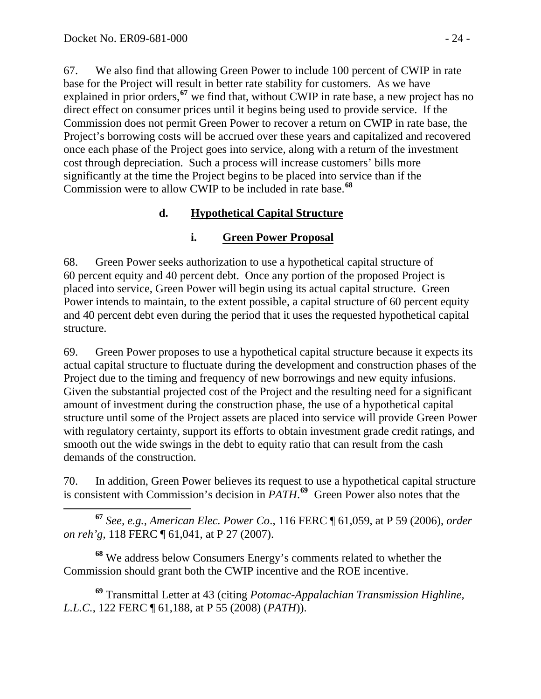67. We also find that allowing Green Power to include 100 percent of CWIP in rate base for the Project will result in better rate stability for customers. As we have explained in prior orders,**[67](#page-23-0)** we find that, without CWIP in rate base, a new project has no direct effect on consumer prices until it begins being used to provide service. If the Commission does not permit Green Power to recover a return on CWIP in rate base, the Project's borrowing costs will be accrued over these years and capitalized and recovered once each phase of the Project goes into service, along with a return of the investment cost through depreciation. Such a process will increase customers' bills more significantly at the time the Project begins to be placed into service than if the Commission were to allow CWIP to be included in rate base.**[68](#page-23-1)**

## **d. Hypothetical Capital Structure**

## **i. Green Power Proposal**

68. Green Power seeks authorization to use a hypothetical capital structure of 60 percent equity and 40 percent debt. Once any portion of the proposed Project is placed into service, Green Power will begin using its actual capital structure. Green Power intends to maintain, to the extent possible, a capital structure of 60 percent equity and 40 percent debt even during the period that it uses the requested hypothetical capital structure.

69. Green Power proposes to use a hypothetical capital structure because it expects its actual capital structure to fluctuate during the development and construction phases of the Project due to the timing and frequency of new borrowings and new equity infusions. Given the substantial projected cost of the Project and the resulting need for a significant amount of investment during the construction phase, the use of a hypothetical capital structure until some of the Project assets are placed into service will provide Green Power with regulatory certainty, support its efforts to obtain investment grade credit ratings, and smooth out the wide swings in the debt to equity ratio that can result from the cash demands of the construction.

70. In addition, Green Power believes its request to use a hypothetical capital structure is consistent with Commission's decision in *PATH*. **[69](#page-23-2)** Green Power also notes that the

<span id="page-23-0"></span> **<sup>67</sup>** *See, e.g., American Elec. Power Co*., 116 FERC ¶ 61,059, at P 59 (2006), *order on reh'g*, 118 FERC ¶ 61,041, at P 27 (2007).

<span id="page-23-1"></span>**<sup>68</sup>** We address below Consumers Energy's comments related to whether the Commission should grant both the CWIP incentive and the ROE incentive.

<span id="page-23-2"></span>**<sup>69</sup>** Transmittal Letter at 43 (citing *Potomac-Appalachian Transmission Highline, L.L.C.*, 122 FERC ¶ 61,188, at P 55 (2008) (*PATH*)).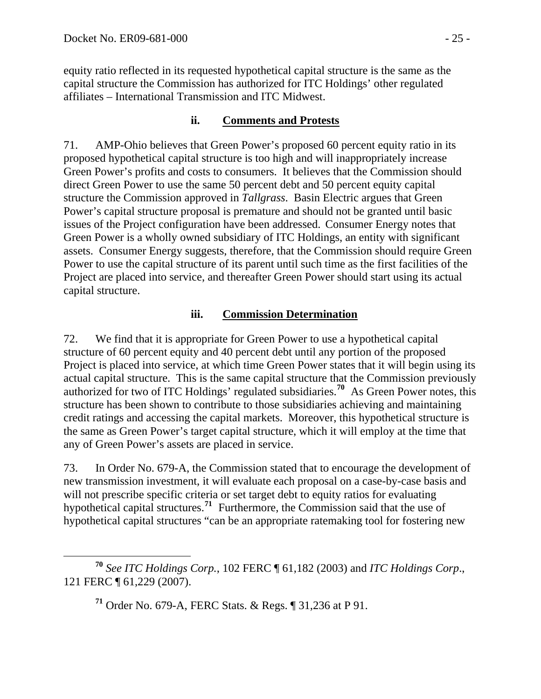equity ratio reflected in its requested hypothetical capital structure is the same as the capital structure the Commission has authorized for ITC Holdings' other regulated affiliates – International Transmission and ITC Midwest.

#### **ii. Comments and Protests**

71. AMP-Ohio believes that Green Power's proposed 60 percent equity ratio in its proposed hypothetical capital structure is too high and will inappropriately increase Green Power's profits and costs to consumers. It believes that the Commission should direct Green Power to use the same 50 percent debt and 50 percent equity capital structure the Commission approved in *Tallgrass*.Basin Electric argues that Green Power's capital structure proposal is premature and should not be granted until basic issues of the Project configuration have been addressed. Consumer Energy notes that Green Power is a wholly owned subsidiary of ITC Holdings, an entity with significant assets. Consumer Energy suggests, therefore, that the Commission should require Green Power to use the capital structure of its parent until such time as the first facilities of the Project are placed into service, and thereafter Green Power should start using its actual capital structure.

#### **iii. Commission Determination**

72. We find that it is appropriate for Green Power to use a hypothetical capital structure of 60 percent equity and 40 percent debt until any portion of the proposed Project is placed into service, at which time Green Power states that it will begin using its actual capital structure. This is the same capital structure that the Commission previously authorized for two of ITC Holdings' regulated subsidiaries.**[70](#page-24-0)** As Green Power notes, this structure has been shown to contribute to those subsidiaries achieving and maintaining credit ratings and accessing the capital markets. Moreover, this hypothetical structure is the same as Green Power's target capital structure, which it will employ at the time that any of Green Power's assets are placed in service.

73. In Order No. 679-A, the Commission stated that to encourage the development of new transmission investment, it will evaluate each proposal on a case-by-case basis and will not prescribe specific criteria or set target debt to equity ratios for evaluating hypothetical capital structures.**[71](#page-24-1)** Furthermore, the Commission said that the use of hypothetical capital structures "can be an appropriate ratemaking tool for fostering new

**<sup>71</sup>** Order No. 679-A, FERC Stats. & Regs. ¶ 31,236 at P 91.

<span id="page-24-1"></span><span id="page-24-0"></span>**<sup>70</sup>** *See ITC Holdings Corp.*, 102 FERC ¶ 61,182 (2003) and *ITC Holdings Corp*., 121 FERC ¶ 61,229 (2007).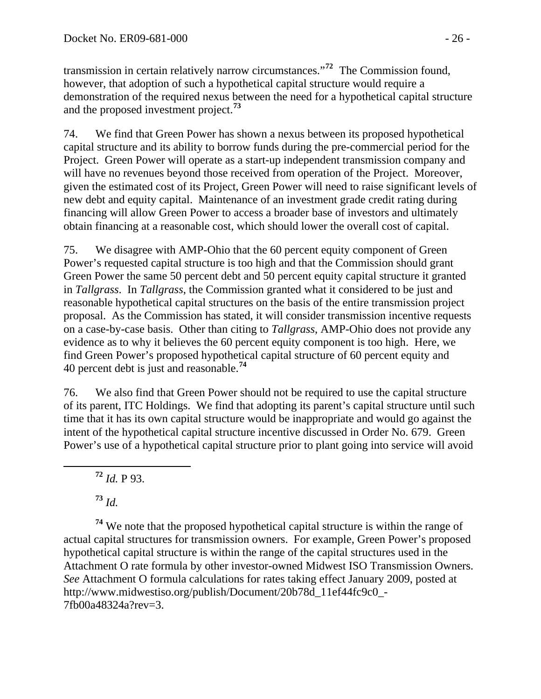transmission in certain relatively narrow circumstances."**<sup>72</sup>** The Commission found, however, that adoption of such a hypothetical capital structure would require a demonstration of the required nexus between the need for a hypothetical capital structure and the proposed investment project.**<sup>73</sup>**

74. We find that Green Power has shown a nexus between its proposed hypothetical capital structure and its ability to borrow funds during the pre-commercial period for the Project. Green Power will operate as a start-up independent transmission company and will have no revenues beyond those received from operation of the Project. Moreover, given the estimated cost of its Project, Green Power will need to raise significant levels of new debt and equity capital. Maintenance of an investment grade credit rating during financing will allow Green Power to access a broader base of investors and ultimately obtain financing at a reasonable cost, which should lower the overall cost of capital.

75. We disagree with AMP-Ohio that the 60 percent equity component of Green Power's requested capital structure is too high and that the Commission should grant Green Power the same 50 percent debt and 50 percent equity capital structure it granted in *Tallgrass*. In *Tallgrass*, the Commission granted what it considered to be just and reasonable hypothetical capital structures on the basis of the entire transmission project proposal. As the Commission has stated, it will consider transmission incentive requests on a case-by-case basis. Other than citing to *Tallgrass*, AMP-Ohio does not provide any evidence as to why it believes the 60 percent equity component is too high. Here, we find Green Power's proposed hypothetical capital structure of 60 percent equity and 40 percent debt is just and reasonable.**[74](#page-25-0)**

76. We also find that Green Power should not be required to use the capital structure of its parent, ITC Holdings. We find that adopting its parent's capital structure until such time that it has its own capital structure would be inappropriate and would go against the intent of the hypothetical capital structure incentive discussed in Order No. 679. Green Power's use of a hypothetical capital structure prior to plant going into service will avoid

**<sup>72</sup>** *Id.* P 93.

**<sup>73</sup>** *Id.*

<span id="page-25-0"></span>**<sup>74</sup>** We note that the proposed hypothetical capital structure is within the range of actual capital structures for transmission owners. For example, Green Power's proposed hypothetical capital structure is within the range of the capital structures used in the Attachment O rate formula by other investor-owned Midwest ISO Transmission Owners. *See* Attachment O formula calculations for rates taking effect January 2009, posted at http://www.midwestiso.org/publish/Document/20b78d\_11ef44fc9c0\_- 7fb00a48324a?rev=3.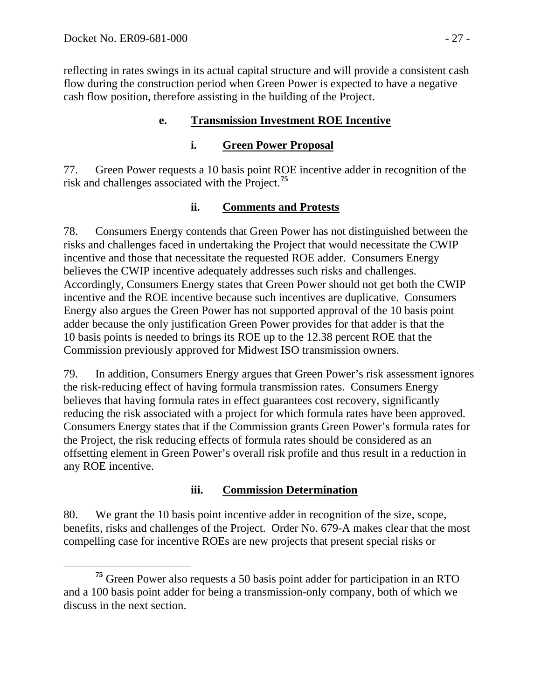reflecting in rates swings in its actual capital structure and will provide a consistent cash flow during the construction period when Green Power is expected to have a negative cash flow position, therefore assisting in the building of the Project.

### **e. Transmission Investment ROE Incentive**

### **i. Green Power Proposal**

77. Green Power requests a 10 basis point ROE incentive adder in recognition of the risk and challenges associated with the Project.**[75](#page-26-0)**

### **ii. Comments and Protests**

78. Consumers Energy contends that Green Power has not distinguished between the risks and challenges faced in undertaking the Project that would necessitate the CWIP incentive and those that necessitate the requested ROE adder. Consumers Energy believes the CWIP incentive adequately addresses such risks and challenges. Accordingly, Consumers Energy states that Green Power should not get both the CWIP incentive and the ROE incentive because such incentives are duplicative. Consumers Energy also argues the Green Power has not supported approval of the 10 basis point adder because the only justification Green Power provides for that adder is that the 10 basis points is needed to brings its ROE up to the 12.38 percent ROE that the Commission previously approved for Midwest ISO transmission owners.

79. In addition, Consumers Energy argues that Green Power's risk assessment ignores the risk-reducing effect of having formula transmission rates. Consumers Energy believes that having formula rates in effect guarantees cost recovery, significantly reducing the risk associated with a project for which formula rates have been approved. Consumers Energy states that if the Commission grants Green Power's formula rates for the Project, the risk reducing effects of formula rates should be considered as an offsetting element in Green Power's overall risk profile and thus result in a reduction in any ROE incentive.

## **iii. Commission Determination**

80. We grant the 10 basis point incentive adder in recognition of the size, scope, benefits, risks and challenges of the Project. Order No. 679-A makes clear that the most compelling case for incentive ROEs are new projects that present special risks or

<span id="page-26-0"></span>**<sup>75</sup>** Green Power also requests a 50 basis point adder for participation in an RTO and a 100 basis point adder for being a transmission-only company, both of which we discuss in the next section.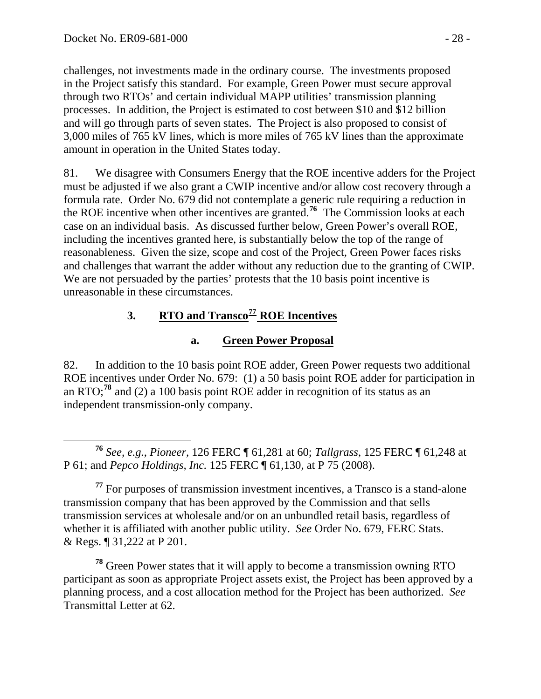challenges, not investments made in the ordinary course. The investments proposed in the Project satisfy this standard. For example, Green Power must secure approval through two RTOs' and certain individual MAPP utilities' transmission planning processes. In addition, the Project is estimated to cost between \$10 and \$12 billion and will go through parts of seven states. The Project is also proposed to consist of 3,000 miles of 765 kV lines, which is more miles of 765 kV lines than the approximate amount in operation in the United States today.

81. We disagree with Consumers Energy that the ROE incentive adders for the Project must be adjusted if we also grant a CWIP incentive and/or allow cost recovery through a formula rate. Order No. 679 did not contemplate a generic rule requiring a reduction in the ROE incentive when other incentives are granted.**[76](#page-27-0)** The Commission looks at each case on an individual basis. As discussed further below, Green Power's overall ROE, including the incentives granted here, is substantially below the top of the range of reasonableness. Given the size, scope and cost of the Project, Green Power faces risks and challenges that warrant the adder without any reduction due to the granting of CWIP. We are not persuaded by the parties' protests that the 10 basis point incentive is unreasonable in these circumstances.

# **3. RTO and Transco[77](#page-27-1) ROE Incentives**

# **a. Green Power Proposal**

82. In addition to the 10 basis point ROE adder, Green Power requests two additional ROE incentives under Order No. 679: (1) a 50 basis point ROE adder for participation in an RTO;**[78](#page-27-2)** and (2) a 100 basis point ROE adder in recognition of its status as an independent transmission-only company.

<span id="page-27-2"></span>**<sup>78</sup>** Green Power states that it will apply to become a transmission owning RTO participant as soon as appropriate Project assets exist, the Project has been approved by a planning process, and a cost allocation method for the Project has been authorized. *See*  Transmittal Letter at 62.

<span id="page-27-0"></span>**<sup>76</sup>** *See, e.g.*, *Pioneer,* 126 FERC ¶ 61,281 at 60; *Tallgrass*, 125 FERC ¶ 61,248 at P 61; and *Pepco Holdings, Inc.* 125 FERC ¶ 61,130, at P 75 (2008).

<span id="page-27-1"></span>**<sup>77</sup>** For purposes of transmission investment incentives, a Transco is a stand-alone transmission company that has been approved by the Commission and that sells transmission services at wholesale and/or on an unbundled retail basis, regardless of whether it is affiliated with another public utility. *See* Order No. 679, FERC Stats. & Regs. ¶ 31,222 at P 201.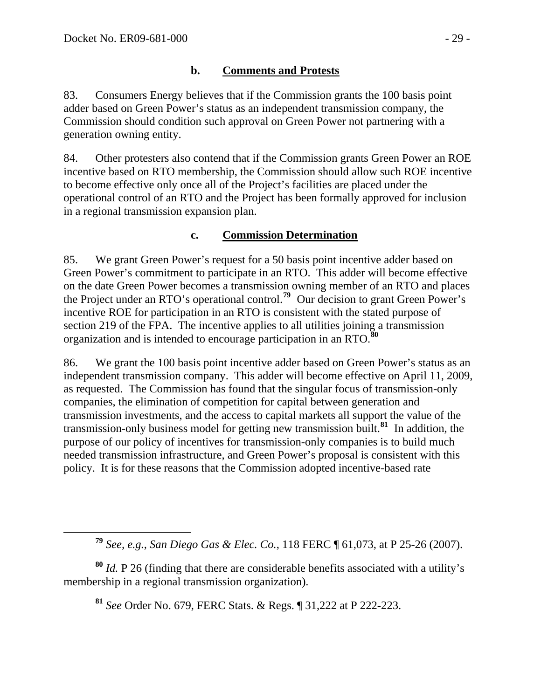#### **b. Comments and Protests**

83. Consumers Energy believes that if the Commission grants the 100 basis point adder based on Green Power's status as an independent transmission company, the Commission should condition such approval on Green Power not partnering with a generation owning entity.

84. Other protesters also contend that if the Commission grants Green Power an ROE incentive based on RTO membership, the Commission should allow such ROE incentive to become effective only once all of the Project's facilities are placed under the operational control of an RTO and the Project has been formally approved for inclusion in a regional transmission expansion plan.

#### **c. Commission Determination**

85. We grant Green Power's request for a 50 basis point incentive adder based on Green Power's commitment to participate in an RTO. This adder will become effective on the date Green Power becomes a transmission owning member of an RTO and places the Project under an RTO's operational control.**[79](#page-28-0)** Our decision to grant Green Power's incentive ROE for participation in an RTO is consistent with the stated purpose of section 219 of the FPA. The incentive applies to all utilities joining a transmission organization and is intended to encourage participation in an RTO.**[80](#page-28-1)**

86. We grant the 100 basis point incentive adder based on Green Power's status as an independent transmission company. This adder will become effective on April 11, 2009, as requested. The Commission has found that the singular focus of transmission-only companies, the elimination of competition for capital between generation and transmission investments, and the access to capital markets all support the value of the transmission-only business model for getting new transmission built.**[81](#page-28-2)** In addition, the purpose of our policy of incentives for transmission-only companies is to build much needed transmission infrastructure, and Green Power's proposal is consistent with this policy. It is for these reasons that the Commission adopted incentive-based rate

**<sup>81</sup>** *See* Order No. 679, FERC Stats. & Regs. ¶ 31,222 at P 222-223.

**<sup>79</sup>** *See, e.g.*, *San Diego Gas & Elec. Co.*, 118 FERC ¶ 61,073, at P 25-26 (2007).

<span id="page-28-2"></span><span id="page-28-1"></span><span id="page-28-0"></span>**<sup>80</sup>** *Id.* P 26 (finding that there are considerable benefits associated with a utility's membership in a regional transmission organization).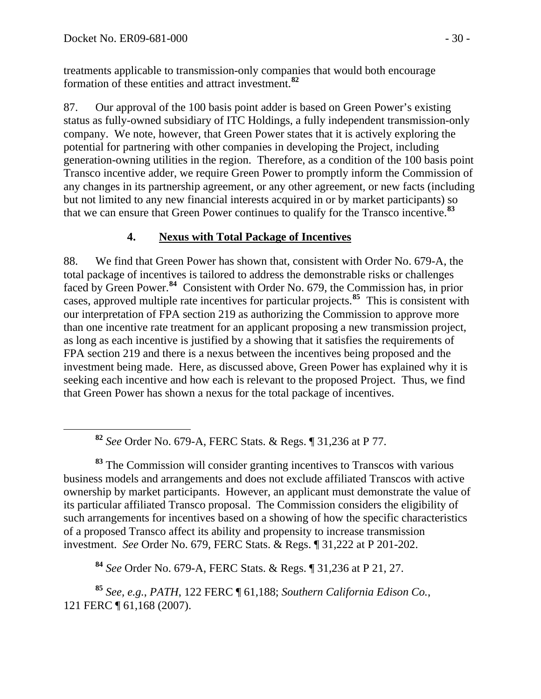treatments applicable to transmission-only companies that would both encourage formation of these entities and attract investment.**<sup>82</sup>**

87. Our approval of the 100 basis point adder is based on Green Power's existing status as fully-owned subsidiary of ITC Holdings, a fully independent transmission-only company. We note, however, that Green Power states that it is actively exploring the potential for partnering with other companies in developing the Project, including generation-owning utilities in the region. Therefore, as a condition of the 100 basis point Transco incentive adder, we require Green Power to promptly inform the Commission of any changes in its partnership agreement, or any other agreement, or new facts (including but not limited to any new financial interests acquired in or by market participants) so that we can ensure that Green Power continues to qualify for the Transco incentive.**[83](#page-29-0)**

# **4. Nexus with Total Package of Incentives**

88. We find that Green Power has shown that, consistent with Order No. 679-A, the total package of incentives is tailored to address the demonstrable risks or challenges faced by Green Power.**[84](#page-29-1)** Consistent with Order No. 679, the Commission has, in prior cases, approved multiple rate incentives for particular projects.**[85](#page-29-2)** This is consistent with our interpretation of FPA section 219 as authorizing the Commission to approve more than one incentive rate treatment for an applicant proposing a new transmission project, as long as each incentive is justified by a showing that it satisfies the requirements of FPA section 219 and there is a nexus between the incentives being proposed and the investment being made. Here, as discussed above, Green Power has explained why it is seeking each incentive and how each is relevant to the proposed Project. Thus, we find that Green Power has shown a nexus for the total package of incentives.

**<sup>82</sup>** *See* Order No. 679-A, FERC Stats. & Regs. ¶ 31,236 at P 77.

<span id="page-29-0"></span>**<sup>83</sup>** The Commission will consider granting incentives to Transcos with various business models and arrangements and does not exclude affiliated Transcos with active ownership by market participants. However, an applicant must demonstrate the value of its particular affiliated Transco proposal. The Commission considers the eligibility of such arrangements for incentives based on a showing of how the specific characteristics of a proposed Transco affect its ability and propensity to increase transmission investment. *See* Order No. 679, FERC Stats. & Regs. ¶ 31,222 at P 201-202.

**<sup>84</sup>** *See* Order No. 679-A, FERC Stats. & Regs. ¶ 31,236 at P 21, 27.

<span id="page-29-2"></span><span id="page-29-1"></span>**<sup>85</sup>** *See, e.g.*, *PATH*, 122 FERC ¶ 61,188; *Southern California Edison Co.*, 121 FERC ¶ 61,168 (2007).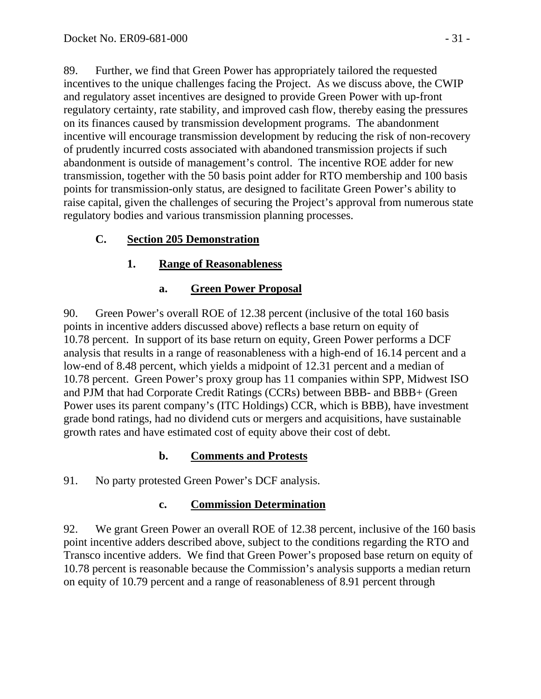89. Further, we find that Green Power has appropriately tailored the requested incentives to the unique challenges facing the Project. As we discuss above, the CWIP and regulatory asset incentives are designed to provide Green Power with up-front regulatory certainty, rate stability, and improved cash flow, thereby easing the pressures on its finances caused by transmission development programs. The abandonment incentive will encourage transmission development by reducing the risk of non-recovery of prudently incurred costs associated with abandoned transmission projects if such abandonment is outside of management's control. The incentive ROE adder for new transmission, together with the 50 basis point adder for RTO membership and 100 basis points for transmission-only status, are designed to facilitate Green Power's ability to raise capital, given the challenges of securing the Project's approval from numerous state regulatory bodies and various transmission planning processes.

## **C. Section 205 Demonstration**

# **1. Range of Reasonableness**

## **a. Green Power Proposal**

90. Green Power's overall ROE of 12.38 percent (inclusive of the total 160 basis points in incentive adders discussed above) reflects a base return on equity of 10.78 percent. In support of its base return on equity, Green Power performs a DCF analysis that results in a range of reasonableness with a high-end of 16.14 percent and a low-end of 8.48 percent, which yields a midpoint of 12.31 percent and a median of 10.78 percent. Green Power's proxy group has 11 companies within SPP, Midwest ISO and PJM that had Corporate Credit Ratings (CCRs) between BBB- and BBB+ (Green Power uses its parent company's (ITC Holdings) CCR, which is BBB), have investment grade bond ratings, had no dividend cuts or mergers and acquisitions, have sustainable growth rates and have estimated cost of equity above their cost of debt.

## **b. Comments and Protests**

91. No party protested Green Power's DCF analysis.

## **c. Commission Determination**

92. We grant Green Power an overall ROE of 12.38 percent, inclusive of the 160 basis point incentive adders described above, subject to the conditions regarding the RTO and Transco incentive adders. We find that Green Power's proposed base return on equity of 10.78 percent is reasonable because the Commission's analysis supports a median return on equity of 10.79 percent and a range of reasonableness of 8.91 percent through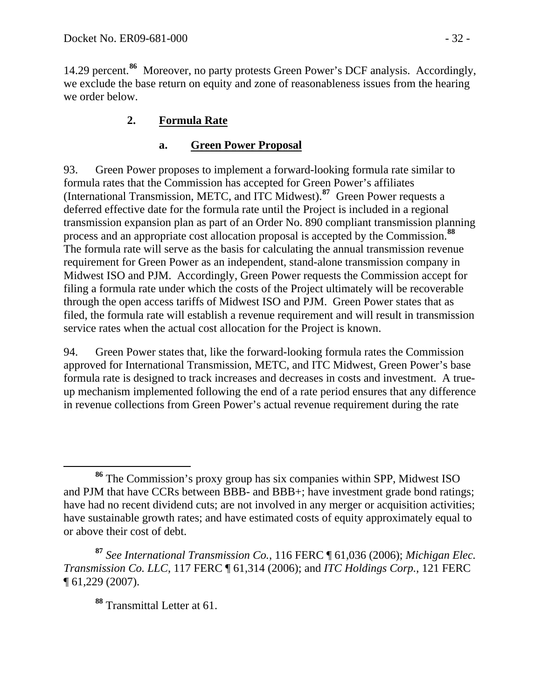14.29 percent.**<sup>86</sup>** Moreover, no party protests Green Power's DCF analysis. Accordingly, we exclude the base return on equity and zone of reasonableness issues from the hearing we order below.

# **2. Formula Rate**

## **a. Green Power Proposal**

93. Green Power proposes to implement a forward-looking formula rate similar to formula rates that the Commission has accepted for Green Power's affiliates (International Transmission, METC, and ITC Midwest).**[87](#page-31-0)** Green Power requests a deferred effective date for the formula rate until the Project is included in a regional transmission expansion plan as part of an Order No. 890 compliant transmission planning process and an appropriate cost allocation proposal is accepted by the Commission.**[88](#page-31-1)** The formula rate will serve as the basis for calculating the annual transmission revenue requirement for Green Power as an independent, stand-alone transmission company in Midwest ISO and PJM. Accordingly, Green Power requests the Commission accept for filing a formula rate under which the costs of the Project ultimately will be recoverable through the open access tariffs of Midwest ISO and PJM. Green Power states that as filed, the formula rate will establish a revenue requirement and will result in transmission service rates when the actual cost allocation for the Project is known.

94. Green Power states that, like the forward-looking formula rates the Commission approved for International Transmission, METC, and ITC Midwest, Green Power's base formula rate is designed to track increases and decreases in costs and investment. A trueup mechanism implemented following the end of a rate period ensures that any difference in revenue collections from Green Power's actual revenue requirement during the rate

**<sup>88</sup>** Transmittal Letter at 61.

**<sup>86</sup>** The Commission's proxy group has six companies within SPP, Midwest ISO and PJM that have CCRs between BBB- and BBB+; have investment grade bond ratings; have had no recent dividend cuts; are not involved in any merger or acquisition activities; have sustainable growth rates; and have estimated costs of equity approximately equal to or above their cost of debt.

<span id="page-31-1"></span><span id="page-31-0"></span>**<sup>87</sup>** *See International Transmission Co.*, 116 FERC ¶ 61,036 (2006); *Michigan Elec. Transmission Co. LLC*, 117 FERC ¶ 61,314 (2006); and *ITC Holdings Corp.*, 121 FERC ¶ 61,229 (2007).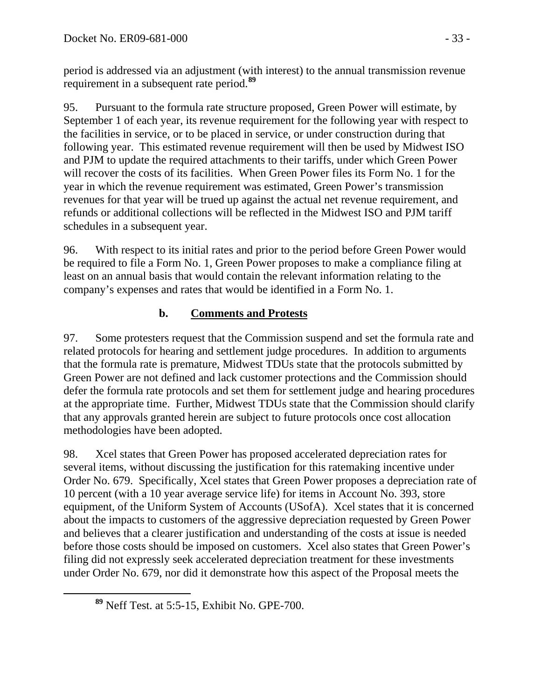period is addressed via an adjustment (with interest) to the annual transmission revenue requirement in a subsequent rate period.**<sup>89</sup>**

95. Pursuant to the formula rate structure proposed, Green Power will estimate, by September 1 of each year, its revenue requirement for the following year with respect to the facilities in service, or to be placed in service, or under construction during that following year. This estimated revenue requirement will then be used by Midwest ISO and PJM to update the required attachments to their tariffs, under which Green Power will recover the costs of its facilities. When Green Power files its Form No. 1 for the year in which the revenue requirement was estimated, Green Power's transmission revenues for that year will be trued up against the actual net revenue requirement, and refunds or additional collections will be reflected in the Midwest ISO and PJM tariff schedules in a subsequent year.

96. With respect to its initial rates and prior to the period before Green Power would be required to file a Form No. 1, Green Power proposes to make a compliance filing at least on an annual basis that would contain the relevant information relating to the company's expenses and rates that would be identified in a Form No. 1.

# **b. Comments and Protests**

97. Some protesters request that the Commission suspend and set the formula rate and related protocols for hearing and settlement judge procedures. In addition to arguments that the formula rate is premature, Midwest TDUs state that the protocols submitted by Green Power are not defined and lack customer protections and the Commission should defer the formula rate protocols and set them for settlement judge and hearing procedures at the appropriate time. Further, Midwest TDUs state that the Commission should clarify that any approvals granted herein are subject to future protocols once cost allocation methodologies have been adopted.

98. Xcel states that Green Power has proposed accelerated depreciation rates for several items, without discussing the justification for this ratemaking incentive under Order No. 679. Specifically, Xcel states that Green Power proposes a depreciation rate of 10 percent (with a 10 year average service life) for items in Account No. 393, store equipment, of the Uniform System of Accounts (USofA). Xcel states that it is concerned about the impacts to customers of the aggressive depreciation requested by Green Power and believes that a clearer justification and understanding of the costs at issue is needed before those costs should be imposed on customers. Xcel also states that Green Power's filing did not expressly seek accelerated depreciation treatment for these investments under Order No. 679, nor did it demonstrate how this aspect of the Proposal meets the

**<sup>89</sup>** Neff Test. at 5:5-15, Exhibit No. GPE-700.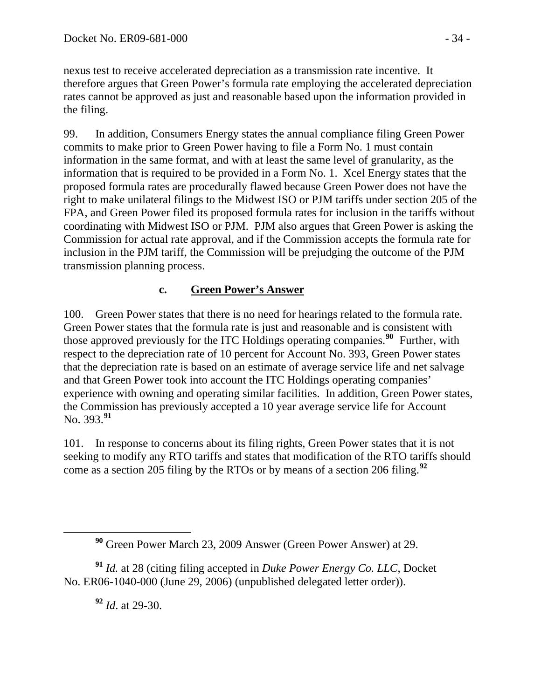nexus test to receive accelerated depreciation as a transmission rate incentive. It therefore argues that Green Power's formula rate employing the accelerated depreciation rates cannot be approved as just and reasonable based upon the information provided in the filing.

99. In addition, Consumers Energy states the annual compliance filing Green Power commits to make prior to Green Power having to file a Form No. 1 must contain information in the same format, and with at least the same level of granularity, as the information that is required to be provided in a Form No. 1. Xcel Energy states that the proposed formula rates are procedurally flawed because Green Power does not have the right to make unilateral filings to the Midwest ISO or PJM tariffs under section 205 of the FPA, and Green Power filed its proposed formula rates for inclusion in the tariffs without coordinating with Midwest ISO or PJM. PJM also argues that Green Power is asking the Commission for actual rate approval, and if the Commission accepts the formula rate for inclusion in the PJM tariff, the Commission will be prejudging the outcome of the PJM transmission planning process.

### **c. Green Power's Answer**

100. Green Power states that there is no need for hearings related to the formula rate. Green Power states that the formula rate is just and reasonable and is consistent with those approved previously for the ITC Holdings operating companies.**[90](#page-33-0)** Further, with respect to the depreciation rate of 10 percent for Account No. 393, Green Power states that the depreciation rate is based on an estimate of average service life and net salvage and that Green Power took into account the ITC Holdings operating companies' experience with owning and operating similar facilities. In addition, Green Power states, the Commission has previously accepted a 10 year average service life for Account No. 393.**[91](#page-33-1)**

101. In response to concerns about its filing rights, Green Power states that it is not seeking to modify any RTO tariffs and states that modification of the RTO tariffs should come as a section 205 filing by the RTOs or by means of a section 206 filing.**[92](#page-33-2)**

<span id="page-33-2"></span><span id="page-33-1"></span><span id="page-33-0"></span>**<sup>91</sup>** *Id.* at 28 (citing filing accepted in *Duke Power Energy Co. LLC*, Docket No. ER06-1040-000 (June 29, 2006) (unpublished delegated letter order)).

**<sup>92</sup>** *Id*. at 29-30.

**<sup>90</sup>** Green Power March 23, 2009 Answer (Green Power Answer) at 29.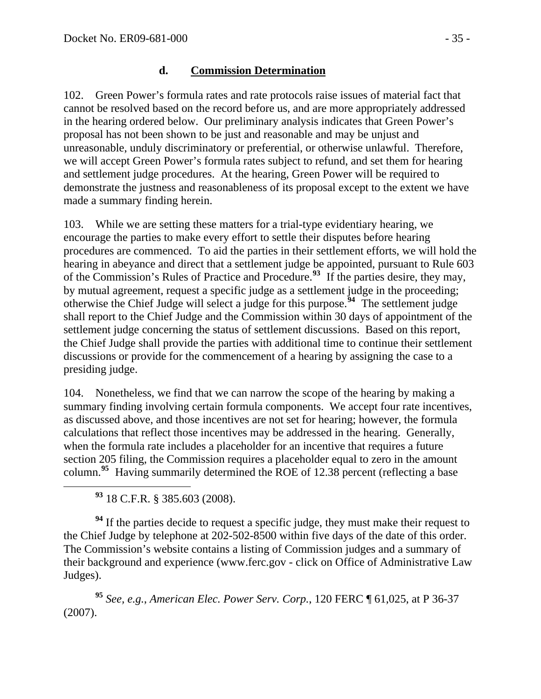#### **d. Commission Determination**

102. Green Power's formula rates and rate protocols raise issues of material fact that cannot be resolved based on the record before us, and are more appropriately addressed in the hearing ordered below. Our preliminary analysis indicates that Green Power's proposal has not been shown to be just and reasonable and may be unjust and unreasonable, unduly discriminatory or preferential, or otherwise unlawful. Therefore, we will accept Green Power's formula rates subject to refund, and set them for hearing and settlement judge procedures. At the hearing, Green Power will be required to demonstrate the justness and reasonableness of its proposal except to the extent we have made a summary finding herein.

103. While we are setting these matters for a trial-type evidentiary hearing, we encourage the parties to make every effort to settle their disputes before hearing procedures are commenced. To aid the parties in their settlement efforts, we will hold the hearing in abeyance and direct that a settlement judge be appointed, pursuant to Rule 603 of the Commission's Rules of Practice and Procedure.**[93](#page-34-0)** If the parties desire, they may, by mutual agreement, request a specific judge as a settlement judge in the proceeding; otherwise the Chief Judge will select a judge for this purpose.**[94](#page-34-1)** The settlement judge shall report to the Chief Judge and the Commission within 30 days of appointment of the settlement judge concerning the status of settlement discussions. Based on this report, the Chief Judge shall provide the parties with additional time to continue their settlement discussions or provide for the commencement of a hearing by assigning the case to a presiding judge.

104. Nonetheless, we find that we can narrow the scope of the hearing by making a summary finding involving certain formula components. We accept four rate incentives, as discussed above, and those incentives are not set for hearing; however, the formula calculations that reflect those incentives may be addressed in the hearing. Generally, when the formula rate includes a placeholder for an incentive that requires a future section 205 filing, the Commission requires a placeholder equal to zero in the amount column.<sup>[95](#page-34-2)</sup> Having summarily determined the ROE of 12.38 percent (reflecting a base

**<sup>93</sup>** 18 C.F.R. § 385.603 (2008).

<span id="page-34-1"></span><span id="page-34-0"></span><sup>94</sup> If the parties decide to request a specific judge, they must make their request to the Chief Judge by telephone at 202-502-8500 within five days of the date of this order. The Commission's website contains a listing of Commission judges and a summary of their background and experience (www.ferc.gov - click on Office of Administrative Law Judges).

<span id="page-34-2"></span>**<sup>95</sup>** *See, e.g.*, *American Elec. Power Serv. Corp.*, 120 FERC ¶ 61,025, at P 36-37 (2007).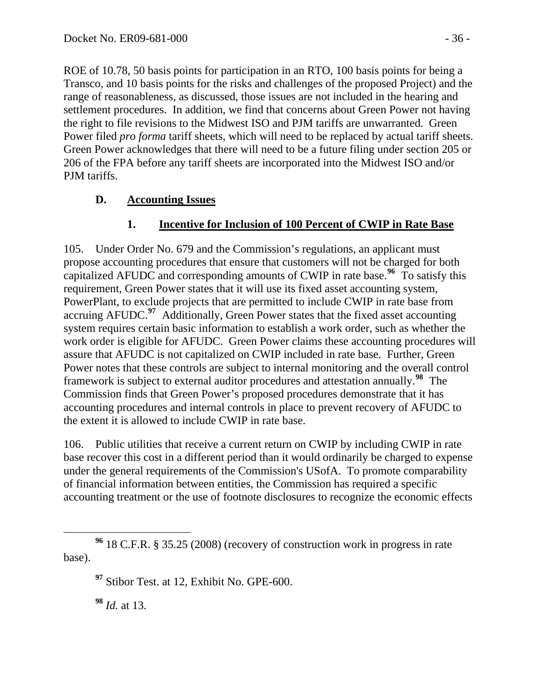ROE of 10.78, 50 basis points for participation in an RTO, 100 basis points for being a Transco, and 10 basis points for the risks and challenges of the proposed Project) and the range of reasonableness, as discussed, those issues are not included in the hearing and settlement procedures. In addition, we find that concerns about Green Power not having the right to file revisions to the Midwest ISO and PJM tariffs are unwarranted. Green Power filed *pro forma* tariff sheets, which will need to be replaced by actual tariff sheets. Green Power acknowledges that there will need to be a future filing under section 205 or 206 of the FPA before any tariff sheets are incorporated into the Midwest ISO and/or PJM tariffs.

## **D. Accounting Issues**

# **1. Incentive for Inclusion of 100 Percent of CWIP in Rate Base**

105. Under Order No. 679 and the Commission's regulations, an applicant must propose accounting procedures that ensure that customers will not be charged for both capitalized AFUDC and corresponding amounts of CWIP in rate base.**[96](#page-35-0)** To satisfy this requirement, Green Power states that it will use its fixed asset accounting system, PowerPlant, to exclude projects that are permitted to include CWIP in rate base from accruing AFUDC.**[97](#page-35-1)** Additionally, Green Power states that the fixed asset accounting system requires certain basic information to establish a work order, such as whether the work order is eligible for AFUDC. Green Power claims these accounting procedures will assure that AFUDC is not capitalized on CWIP included in rate base. Further, Green Power notes that these controls are subject to internal monitoring and the overall control framework is subject to external auditor procedures and attestation annually.**[98](#page-35-2)** The Commission finds that Green Power's proposed procedures demonstrate that it has accounting procedures and internal controls in place to prevent recovery of AFUDC to the extent it is allowed to include CWIP in rate base.

106. Public utilities that receive a current return on CWIP by including CWIP in rate base recover this cost in a different period than it would ordinarily be charged to expense under the general requirements of the Commission's USofA. To promote comparability of financial information between entities, the Commission has required a specific accounting treatment or the use of footnote disclosures to recognize the economic effects

**<sup>98</sup>** *Id.* at 13.

<span id="page-35-2"></span><span id="page-35-1"></span><span id="page-35-0"></span>**<sup>96</sup>** 18 C.F.R. § 35.25 (2008) (recovery of construction work in progress in rate base).

**<sup>97</sup>** Stibor Test. at 12, Exhibit No. GPE-600.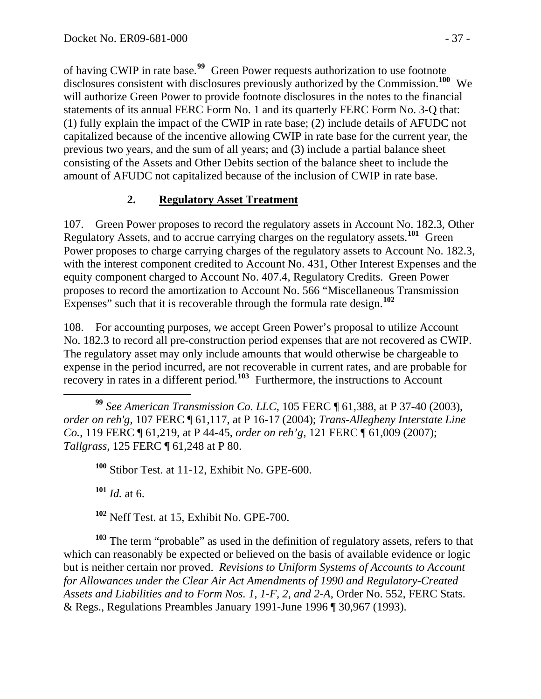of having CWIP in rate base.**<sup>99</sup>** Green Power requests authorization to use footnote disclosures consistent with disclosures previously authorized by the Commission.**<sup>100</sup>** We will authorize Green Power to provide footnote disclosures in the notes to the financial statements of its annual FERC Form No. 1 and its quarterly FERC Form No. 3-Q that: (1) fully explain the impact of the CWIP in rate base; (2) include details of AFUDC not capitalized because of the incentive allowing CWIP in rate base for the current year, the previous two years, and the sum of all years; and (3) include a partial balance sheet consisting of the Assets and Other Debits section of the balance sheet to include the amount of AFUDC not capitalized because of the inclusion of CWIP in rate base.

## **2. Regulatory Asset Treatment**

107. Green Power proposes to record the regulatory assets in Account No. 182.3, Other Regulatory Assets, and to accrue carrying charges on the regulatory assets.**[101](#page-36-0)** Green Power proposes to charge carrying charges of the regulatory assets to Account No. 182.3, with the interest component credited to Account No. 431, Other Interest Expenses and the equity component charged to Account No. 407.4, Regulatory Credits. Green Power proposes to record the amortization to Account No. 566 "Miscellaneous Transmission Expenses" such that it is recoverable through the formula rate design.**[102](#page-36-1)**

108. For accounting purposes, we accept Green Power's proposal to utilize Account No. 182.3 to record all pre-construction period expenses that are not recovered as CWIP. The regulatory asset may only include amounts that would otherwise be chargeable to expense in the period incurred, are not recoverable in current rates, and are probable for recovery in rates in a different period.**[103](#page-36-2)** Furthermore, the instructions to Account

**<sup>101</sup>** *Id.* at 6.

**<sup>102</sup>** Neff Test. at 15, Exhibit No. GPE-700.

<span id="page-36-2"></span><span id="page-36-1"></span><span id="page-36-0"></span>**<sup>103</sup>** The term "probable" as used in the definition of regulatory assets, refers to that which can reasonably be expected or believed on the basis of available evidence or logic but is neither certain nor proved. *Revisions to Uniform Systems of Accounts to Account for Allowances under the Clear Air Act Amendments of 1990 and Regulatory-Created Assets and Liabilities and to Form Nos. 1, 1-F, 2, and 2-A*, Order No. 552, FERC Stats. & Regs., Regulations Preambles January 1991-June 1996 [¶ 30,967](javascript:rDoDocLink() (1993).

**<sup>99</sup>** *See American Transmission Co. LLC*, 105 FERC ¶ 61,388, at P 37-40 (2003), *order on reh'g,* 107 FERC ¶ 61,117, at P 16-17 (2004); *Trans-Allegheny Interstate Line Co.*, 119 FERC ¶ 61,219, at P 44-45, *order on reh'g*, 121 FERC ¶ 61,009 (2007); *Tallgrass*, 125 FERC ¶ 61,248 at P 80.

**<sup>100</sup>** Stibor Test. at 11-12, Exhibit No. GPE-600.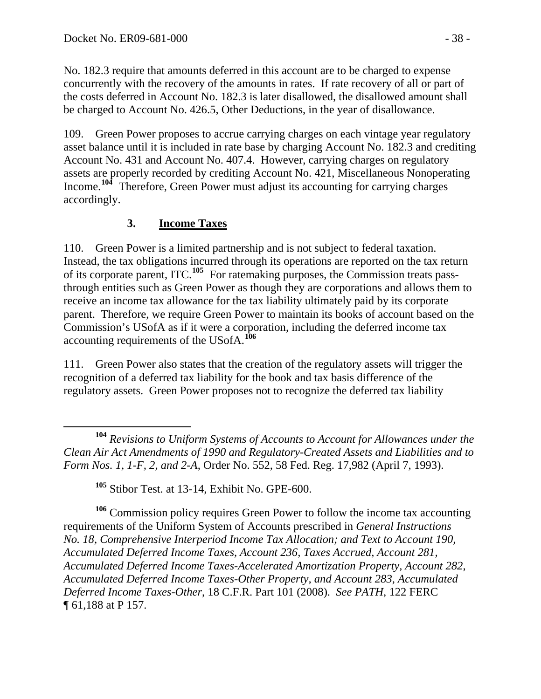No. 182.3 require that amounts deferred in this account are to be charged to expense concurrently with the recovery of the amounts in rates. If rate recovery of all or part of the costs deferred in Account No. 182.3 is later disallowed, the disallowed amount shall be charged to Account No. 426.5, Other Deductions, in the year of disallowance.

109. Green Power proposes to accrue carrying charges on each vintage year regulatory asset balance until it is included in rate base by charging Account No. 182.3 and crediting Account No. 431 and Account No. 407.4. However, carrying charges on regulatory assets are properly recorded by crediting Account No. 421, Miscellaneous Nonoperating Income.**[104](#page-37-0)** Therefore, Green Power must adjust its accounting for carrying charges accordingly.

# **3. Income Taxes**

110. Green Power is a limited partnership and is not subject to federal taxation. Instead, the tax obligations incurred through its operations are reported on the tax return of its corporate parent, ITC.**[105](#page-37-1)** For ratemaking purposes, the Commission treats passthrough entities such as Green Power as though they are corporations and allows them to receive an income tax allowance for the tax liability ultimately paid by its corporate parent. Therefore, we require Green Power to maintain its books of account based on the Commission's USofA as if it were a corporation, including the deferred income tax accounting requirements of the USofA.**[106](#page-37-2)**

111. Green Power also states that the creation of the regulatory assets will trigger the recognition of a deferred tax liability for the book and tax basis difference of the regulatory assets. Green Power proposes not to recognize the deferred tax liability

<span id="page-37-0"></span> **<sup>104</sup>** *Revisions to Uniform Systems of Accounts to Account for Allowances under the Clean Air Act Amendments of 1990 and Regulatory-Created Assets and Liabilities and to Form Nos. 1, 1-F, 2, and 2-A*, Order No. 552, 58 Fed. Reg. 17,982 (April 7, 1993).

**<sup>105</sup>** Stibor Test. at 13-14, Exhibit No. GPE-600.

<span id="page-37-2"></span><span id="page-37-1"></span>**<sup>106</sup>** Commission policy requires Green Power to follow the income tax accounting requirements of the Uniform System of Accounts prescribed in *General Instructions No. 18, Comprehensive Interperiod Income Tax Allocation; and Text to Account 190, Accumulated Deferred Income Taxes, Account 236, Taxes Accrued, Account 281, Accumulated Deferred Income Taxes-Accelerated Amortization Property, Account 282, Accumulated Deferred Income Taxes-Other Property, and Account 283, Accumulated Deferred Income Taxes-Other*, 18 C.F.R. Part 101 (2008). *See PATH*, 122 FERC ¶ 61,188 at P 157.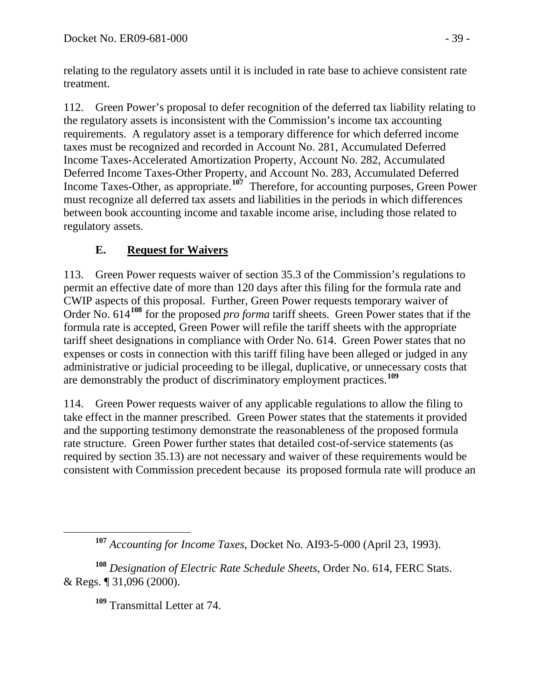relating to the regulatory assets until it is included in rate base to achieve consistent rate treatment.

112. Green Power's proposal to defer recognition of the deferred tax liability relating to the regulatory assets is inconsistent with the Commission's income tax accounting requirements. A regulatory asset is a temporary difference for which deferred income taxes must be recognized and recorded in Account No. 281, Accumulated Deferred Income Taxes-Accelerated Amortization Property, Account No. 282, Accumulated Deferred Income Taxes-Other Property, and Account No. 283, Accumulated Deferred Income Taxes-Other, as appropriate.**[107](#page-38-0)** Therefore, for accounting purposes, Green Power must recognize all deferred tax assets and liabilities in the periods in which differences between book accounting income and taxable income arise, including those related to regulatory assets.

# **E. Request for Waivers**

113. Green Power requests waiver of section 35.3 of the Commission's regulations to permit an effective date of more than 120 days after this filing for the formula rate and CWIP aspects of this proposal. Further, Green Power requests temporary waiver of Order No. 614**[108](#page-38-1)** for the proposed *pro forma* tariff sheets. Green Power states that if the formula rate is accepted, Green Power will refile the tariff sheets with the appropriate tariff sheet designations in compliance with Order No. 614. Green Power states that no expenses or costs in connection with this tariff filing have been alleged or judged in any administrative or judicial proceeding to be illegal, duplicative, or unnecessary costs that are demonstrably the product of discriminatory employment practices.**[109](#page-38-2)**

114. Green Power requests waiver of any applicable regulations to allow the filing to take effect in the manner prescribed. Green Power states that the statements it provided and the supporting testimony demonstrate the reasonableness of the proposed formula rate structure. Green Power further states that detailed cost-of-service statements (as required by section 35.13) are not necessary and waiver of these requirements would be consistent with Commission precedent because its proposed formula rate will produce an

**<sup>109</sup>** Transmittal Letter at 74.

**<sup>107</sup>** *Accounting for Income Taxes*, Docket No. AI93-5-000 (April 23, 1993).

<span id="page-38-2"></span><span id="page-38-1"></span><span id="page-38-0"></span>**<sup>108</sup>** *Designation of Electric Rate Schedule Sheets*, Order No. 614, FERC Stats. & Regs. ¶ 31,096 (2000).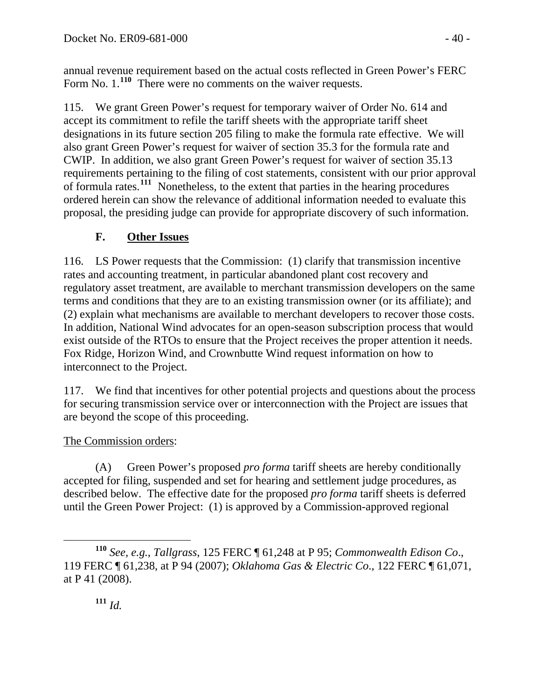annual revenue requirement based on the actual costs reflected in Green Power's FERC Form No. 1.<sup>110</sup> There were no comments on the waiver requests.

115. We grant Green Power's request for temporary waiver of Order No. 614 and accept its commitment to refile the tariff sheets with the appropriate tariff sheet designations in its future section 205 filing to make the formula rate effective. We will also grant Green Power's request for waiver of section 35.3 for the formula rate and CWIP. In addition, we also grant Green Power's request for waiver of section 35.13 requirements pertaining to the filing of cost statements, consistent with our prior approval of formula rates.**[111](#page-39-0)** Nonetheless, to the extent that parties in the hearing procedures ordered herein can show the relevance of additional information needed to evaluate this proposal, the presiding judge can provide for appropriate discovery of such information.

# **F. Other Issues**

116. LS Power requests that the Commission: (1) clarify that transmission incentive rates and accounting treatment, in particular abandoned plant cost recovery and regulatory asset treatment, are available to merchant transmission developers on the same terms and conditions that they are to an existing transmission owner (or its affiliate); and (2) explain what mechanisms are available to merchant developers to recover those costs. In addition, National Wind advocates for an open-season subscription process that would exist outside of the RTOs to ensure that the Project receives the proper attention it needs. Fox Ridge, Horizon Wind, and Crownbutte Wind request information on how to interconnect to the Project.

117. We find that incentives for other potential projects and questions about the process for securing transmission service over or interconnection with the Project are issues that are beyond the scope of this proceeding.

# The Commission orders:

(A) Green Power's proposed *pro forma* tariff sheets are hereby conditionally accepted for filing, suspended and set for hearing and settlement judge procedures, as described below. The effective date for the proposed *pro forma* tariff sheets is deferred until the Green Power Project: (1) is approved by a Commission-approved regional

<span id="page-39-0"></span>**<sup>110</sup>** *See, e.g.*, *Tallgrass*, 125 FERC ¶ 61,248 at P 95; *Commonwealth Edison Co*., 119 FERC ¶ 61,238, at P 94 (2007); *Oklahoma Gas & Electric Co*., 122 FERC ¶ 61,071, at P 41 (2008).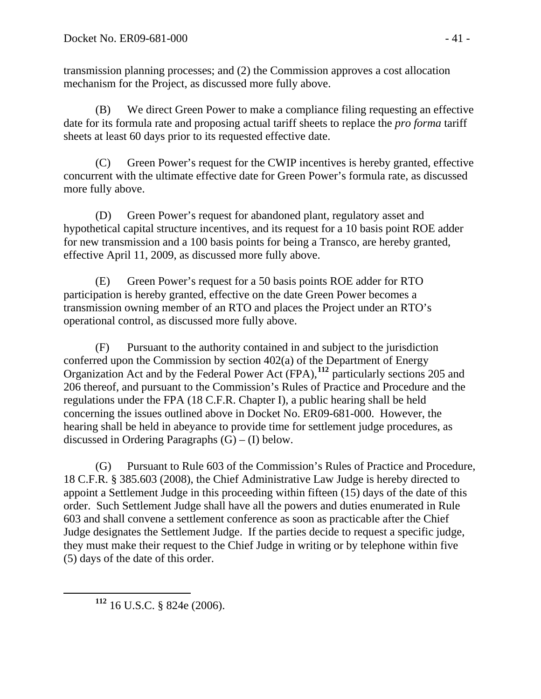transmission planning processes; and (2) the Commission approves a cost allocation mechanism for the Project, as discussed more fully above.

(B) We direct Green Power to make a compliance filing requesting an effective date for its formula rate and proposing actual tariff sheets to replace the *pro forma* tariff sheets at least 60 days prior to its requested effective date.

(C) Green Power's request for the CWIP incentives is hereby granted, effective concurrent with the ultimate effective date for Green Power's formula rate, as discussed more fully above.

(D) Green Power's request for abandoned plant, regulatory asset and hypothetical capital structure incentives, and its request for a 10 basis point ROE adder for new transmission and a 100 basis points for being a Transco, are hereby granted, effective April 11, 2009, as discussed more fully above.

(E) Green Power's request for a 50 basis points ROE adder for RTO participation is hereby granted, effective on the date Green Power becomes a transmission owning member of an RTO and places the Project under an RTO's operational control, as discussed more fully above.

(F) Pursuant to the authority contained in and subject to the jurisdiction conferred upon the Commission by section 402(a) of the Department of Energy Organization Act and by the Federal Power Act (FPA),**[112](#page-40-0)** particularly sections 205 and 206 thereof, and pursuant to the Commission's Rules of Practice and Procedure and the regulations under the FPA (18 C.F.R. Chapter I), a public hearing shall be held concerning the issues outlined above in Docket No. ER09-681-000. However, the hearing shall be held in abeyance to provide time for settlement judge procedures, as discussed in Ordering Paragraphs  $(G) - (I)$  below.

(G) Pursuant to Rule 603 of the Commission's Rules of Practice and Procedure, 18 C.F.R. § 385.603 (2008), the Chief Administrative Law Judge is hereby directed to appoint a Settlement Judge in this proceeding within fifteen (15) days of the date of this order. Such Settlement Judge shall have all the powers and duties enumerated in Rule 603 and shall convene a settlement conference as soon as practicable after the Chief Judge designates the Settlement Judge. If the parties decide to request a specific judge, they must make their request to the Chief Judge in writing or by telephone within five (5) days of the date of this order.

<span id="page-40-0"></span>**<sup>112</sup>** 16 U.S.C. § 824e (2006).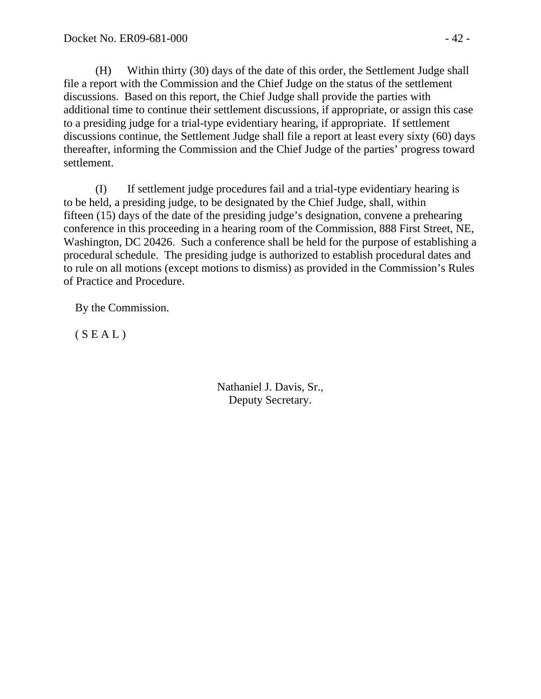(H) Within thirty (30) days of the date of this order, the Settlement Judge shall file a report with the Commission and the Chief Judge on the status of the settlement discussions. Based on this report, the Chief Judge shall provide the parties with additional time to continue their settlement discussions, if appropriate, or assign this case to a presiding judge for a trial-type evidentiary hearing, if appropriate. If settlement discussions continue, the Settlement Judge shall file a report at least every sixty (60) days thereafter, informing the Commission and the Chief Judge of the parties' progress toward settlement.

(I) If settlement judge procedures fail and a trial-type evidentiary hearing is to be held, a presiding judge, to be designated by the Chief Judge, shall, within fifteen (15) days of the date of the presiding judge's designation, convene a prehearing conference in this proceeding in a hearing room of the Commission, 888 First Street, NE, Washington, DC 20426. Such a conference shall be held for the purpose of establishing a procedural schedule. The presiding judge is authorized to establish procedural dates and to rule on all motions (except motions to dismiss) as provided in the Commission's Rules of Practice and Procedure.

By the Commission.

 $(S E A L)$ 

Nathaniel J. Davis, Sr., Deputy Secretary.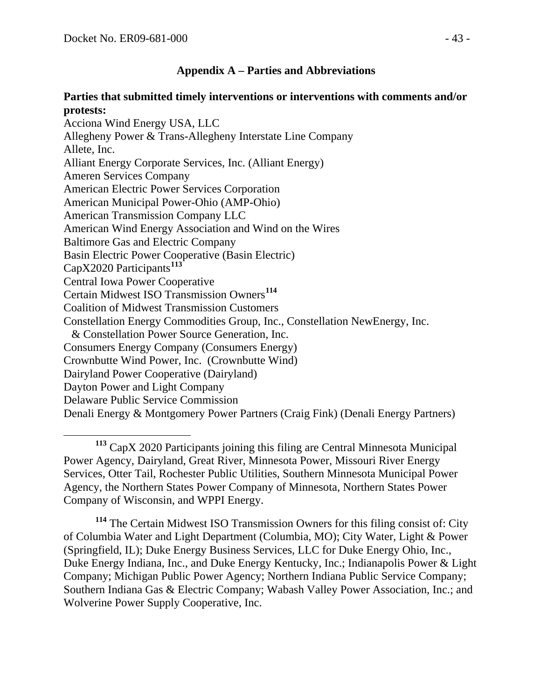#### **Appendix A – Parties and Abbreviations**

#### **Parties that submitted timely interventions or interventions with comments and/or protests:**

Acciona Wind Energy USA, LLC Allegheny Power & Trans-Allegheny Interstate Line Company Allete, Inc. Alliant Energy Corporate Services, Inc. (Alliant Energy) Ameren Services Company American Electric Power Services Corporation American Municipal Power-Ohio (AMP-Ohio) American Transmission Company LLC American Wind Energy Association and Wind on the Wires Baltimore Gas and Electric Company Basin Electric Power Cooperative (Basin Electric) CapX2020 Participants**[113](#page-42-0)** Central Iowa Power Cooperative Certain Midwest ISO Transmission Owners**[114](#page-42-1)** Coalition of Midwest Transmission Customers Constellation Energy Commodities Group, Inc., Constellation NewEnergy, Inc. & Constellation Power Source Generation, Inc. Consumers Energy Company (Consumers Energy) Crownbutte Wind Power, Inc. (Crownbutte Wind) Dairyland Power Cooperative (Dairyland) Dayton Power and Light Company Delaware Public Service Commission Denali Energy & Montgomery Power Partners (Craig Fink) (Denali Energy Partners)

<span id="page-42-0"></span> **<sup>113</sup>** CapX 2020 Participants joining this filing are Central Minnesota Municipal Power Agency, Dairyland, Great River, Minnesota Power, Missouri River Energy Services, Otter Tail, Rochester Public Utilities, Southern Minnesota Municipal Power Agency, the Northern States Power Company of Minnesota, Northern States Power Company of Wisconsin, and WPPI Energy.

<span id="page-42-1"></span>**<sup>114</sup>** The Certain Midwest ISO Transmission Owners for this filing consist of: City of Columbia Water and Light Department (Columbia, MO); City Water, Light & Power (Springfield, IL); Duke Energy Business Services, LLC for Duke Energy Ohio, Inc., Duke Energy Indiana, Inc., and Duke Energy Kentucky, Inc.; Indianapolis Power & Light Company; Michigan Public Power Agency; Northern Indiana Public Service Company; Southern Indiana Gas & Electric Company; Wabash Valley Power Association, Inc.; and Wolverine Power Supply Cooperative, Inc.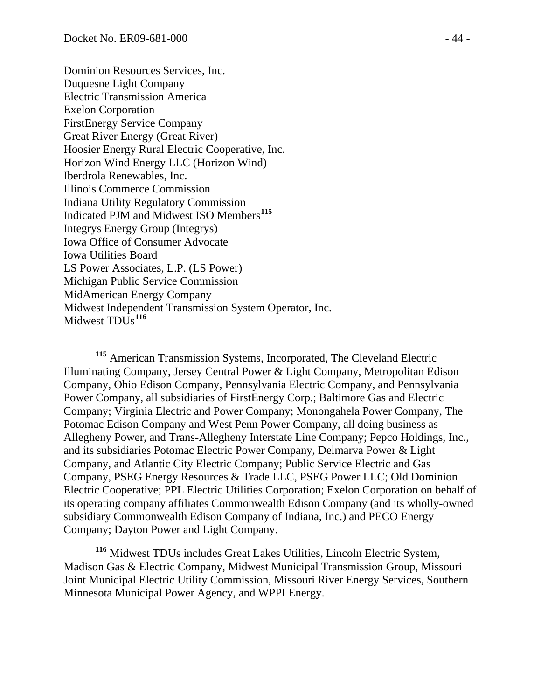Dominion Resources Services, Inc. Duquesne Light Company Electric Transmission America Exelon Corporation FirstEnergy Service Company Great River Energy (Great River) Hoosier Energy Rural Electric Cooperative, Inc. Horizon Wind Energy LLC (Horizon Wind) Iberdrola Renewables, Inc. Illinois Commerce Commission Indiana Utility Regulatory Commission Indicated PJM and Midwest ISO Members**[115](#page-43-0)** Integrys Energy Group (Integrys) Iowa Office of Consumer Advocate Iowa Utilities Board LS Power Associates, L.P. (LS Power) Michigan Public Service Commission MidAmerican Energy Company Midwest Independent Transmission System Operator, Inc. Midwest TDU<sub>s</sub><sup>[116](#page-43-1)</sup>

<span id="page-43-0"></span> **<sup>115</sup>** American Transmission Systems, Incorporated, The Cleveland Electric Illuminating Company, Jersey Central Power & Light Company, Metropolitan Edison Company, Ohio Edison Company, Pennsylvania Electric Company, and Pennsylvania Power Company, all subsidiaries of FirstEnergy Corp.; Baltimore Gas and Electric Company; Virginia Electric and Power Company; Monongahela Power Company, The Potomac Edison Company and West Penn Power Company, all doing business as Allegheny Power, and Trans-Allegheny Interstate Line Company; Pepco Holdings, Inc., and its subsidiaries Potomac Electric Power Company, Delmarva Power & Light Company, and Atlantic City Electric Company; Public Service Electric and Gas Company, PSEG Energy Resources & Trade LLC, PSEG Power LLC; Old Dominion Electric Cooperative; PPL Electric Utilities Corporation; Exelon Corporation on behalf of its operating company affiliates Commonwealth Edison Company (and its wholly-owned subsidiary Commonwealth Edison Company of Indiana, Inc.) and PECO Energy Company; Dayton Power and Light Company.

<span id="page-43-1"></span>**<sup>116</sup>** Midwest TDUs includes Great Lakes Utilities, Lincoln Electric System, Madison Gas & Electric Company, Midwest Municipal Transmission Group, Missouri Joint Municipal Electric Utility Commission, Missouri River Energy Services, Southern Minnesota Municipal Power Agency, and WPPI Energy.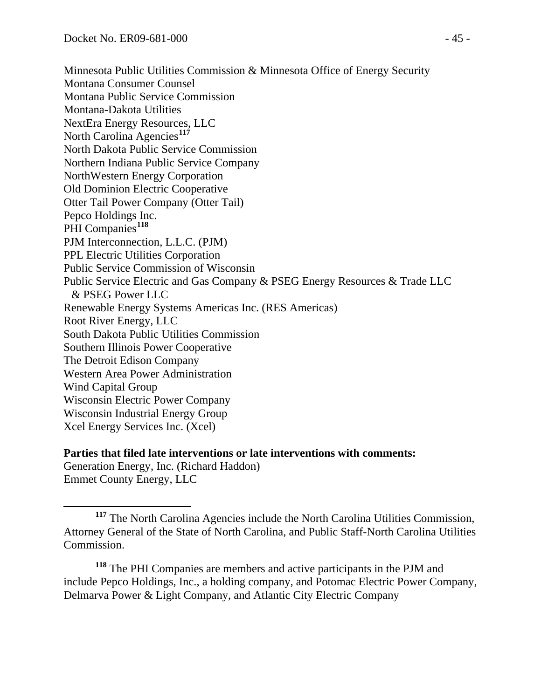Minnesota Public Utilities Commission & Minnesota Office of Energy Security Montana Consumer Counsel Montana Public Service Commission Montana-Dakota Utilities NextEra Energy Resources, LLC North Carolina Agencies**[117](#page-44-0)** North Dakota Public Service Commission Northern Indiana Public Service Company NorthWestern Energy Corporation Old Dominion Electric Cooperative Otter Tail Power Company (Otter Tail) Pepco Holdings Inc. PHI Companies<sup>[118](#page-44-1)</sup> PJM Interconnection, L.L.C. (PJM) PPL Electric Utilities Corporation Public Service Commission of Wisconsin Public Service Electric and Gas Company & PSEG Energy Resources & Trade LLC & PSEG Power LLC Renewable Energy Systems Americas Inc. (RES Americas) Root River Energy, LLC South Dakota Public Utilities Commission Southern Illinois Power Cooperative The Detroit Edison Company Western Area Power Administration Wind Capital Group Wisconsin Electric Power Company Wisconsin Industrial Energy Group Xcel Energy Services Inc. (Xcel)

**Parties that filed late interventions or late interventions with comments:** Generation Energy, Inc. (Richard Haddon) Emmet County Energy, LLC

<span id="page-44-1"></span>**<sup>118</sup>** The PHI Companies are members and active participants in the PJM and include Pepco Holdings, Inc., a holding company, and Potomac Electric Power Company, Delmarva Power & Light Company, and Atlantic City Electric Company

<span id="page-44-0"></span>**<sup>117</sup>** The North Carolina Agencies include the North Carolina Utilities Commission, Attorney General of the State of North Carolina, and Public Staff-North Carolina Utilities Commission.